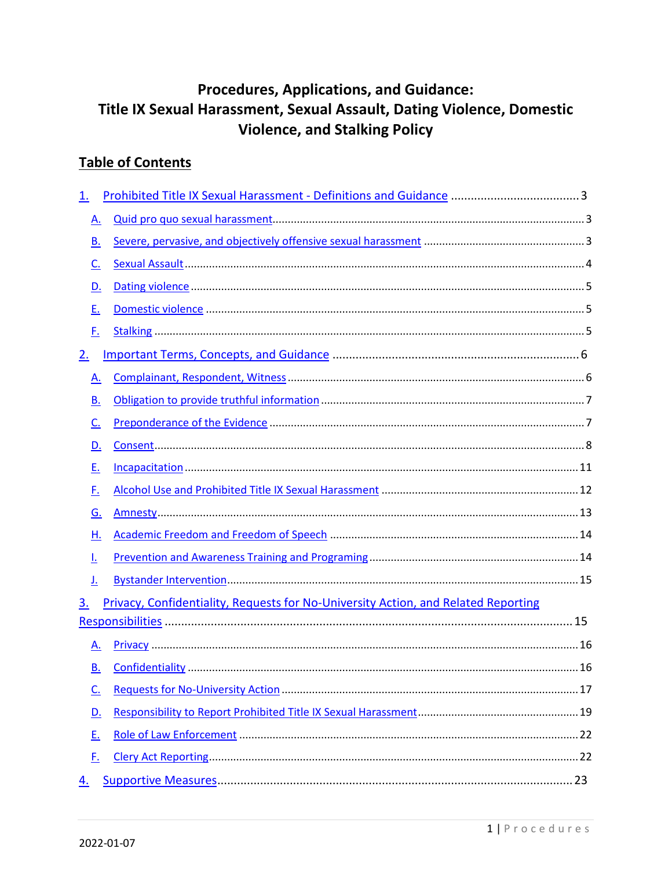# **Procedures, Applications, and Guidance:** Title IX Sexual Harassment, Sexual Assault, Dating Violence, Domestic **Violence, and Stalking Policy**

## **Table of Contents**

| <u>1.</u> |                                                                                    |  |  |  |  |
|-----------|------------------------------------------------------------------------------------|--|--|--|--|
|           | Α.                                                                                 |  |  |  |  |
|           | В.                                                                                 |  |  |  |  |
|           | <u>C.</u>                                                                          |  |  |  |  |
|           | D.                                                                                 |  |  |  |  |
|           | <u>E.</u>                                                                          |  |  |  |  |
|           | F.                                                                                 |  |  |  |  |
| <u>2.</u> |                                                                                    |  |  |  |  |
|           | A.                                                                                 |  |  |  |  |
|           | В.                                                                                 |  |  |  |  |
|           | $C_{\cdot}$                                                                        |  |  |  |  |
|           | D.                                                                                 |  |  |  |  |
|           | <u>E.</u>                                                                          |  |  |  |  |
|           | <u>F.</u>                                                                          |  |  |  |  |
|           | G.                                                                                 |  |  |  |  |
|           | Н.                                                                                 |  |  |  |  |
| Ŀ         |                                                                                    |  |  |  |  |
|           | J.                                                                                 |  |  |  |  |
| <u>3.</u> | Privacy, Confidentiality, Requests for No-University Action, and Related Reporting |  |  |  |  |
|           |                                                                                    |  |  |  |  |
|           | <u>A.</u>                                                                          |  |  |  |  |
|           | <u>B.</u>                                                                          |  |  |  |  |
|           | <u>C.</u>                                                                          |  |  |  |  |
|           | D.                                                                                 |  |  |  |  |
|           | <u>E.</u>                                                                          |  |  |  |  |
|           | <u>F.</u>                                                                          |  |  |  |  |
| 4.        |                                                                                    |  |  |  |  |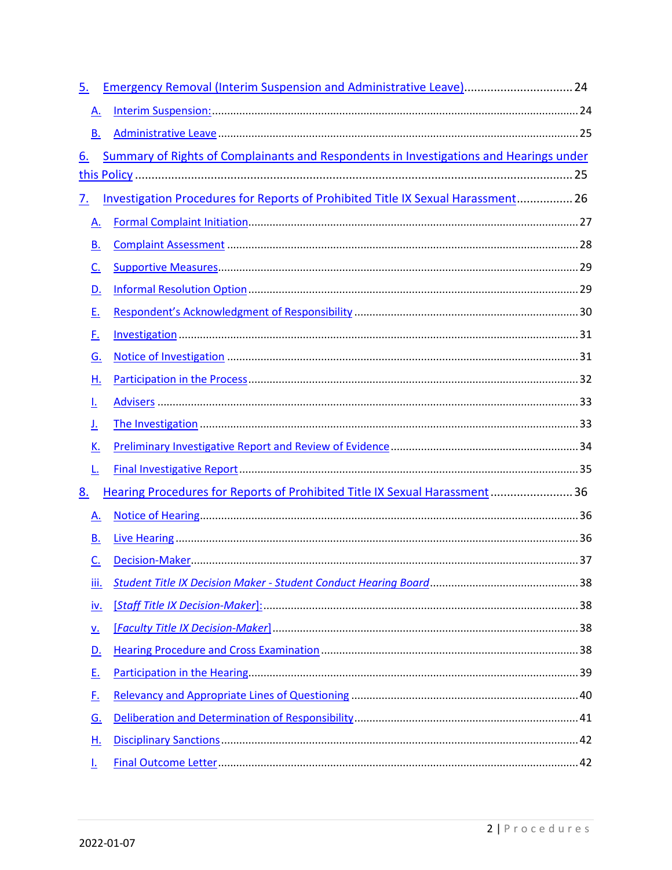| <u>5.</u>                  | Emergency Removal (Interim Suspension and Administrative Leave) 24                     |  |  |  |  |  |
|----------------------------|----------------------------------------------------------------------------------------|--|--|--|--|--|
| <u>A.</u>                  |                                                                                        |  |  |  |  |  |
| В.                         |                                                                                        |  |  |  |  |  |
| 6.                         | Summary of Rights of Complainants and Respondents in Investigations and Hearings under |  |  |  |  |  |
|                            |                                                                                        |  |  |  |  |  |
| <u>7.</u>                  | Investigation Procedures for Reports of Prohibited Title IX Sexual Harassment 26       |  |  |  |  |  |
| A.                         |                                                                                        |  |  |  |  |  |
| В.                         |                                                                                        |  |  |  |  |  |
| <u>c.</u>                  |                                                                                        |  |  |  |  |  |
| D.                         |                                                                                        |  |  |  |  |  |
| Ε.                         |                                                                                        |  |  |  |  |  |
| <u>F.</u>                  |                                                                                        |  |  |  |  |  |
| <u>G.</u>                  |                                                                                        |  |  |  |  |  |
| Η.                         |                                                                                        |  |  |  |  |  |
| Ŀ                          |                                                                                        |  |  |  |  |  |
| <u>J.</u>                  |                                                                                        |  |  |  |  |  |
| <u>K.</u>                  |                                                                                        |  |  |  |  |  |
| <u>L.</u>                  |                                                                                        |  |  |  |  |  |
| <u>8.</u>                  | Hearing Procedures for Reports of Prohibited Title IX Sexual Harassment 36             |  |  |  |  |  |
| <u>A.</u>                  |                                                                                        |  |  |  |  |  |
| В.                         |                                                                                        |  |  |  |  |  |
| <u>C.</u>                  |                                                                                        |  |  |  |  |  |
| iii.                       |                                                                                        |  |  |  |  |  |
| <u>iv.</u>                 |                                                                                        |  |  |  |  |  |
| $\underline{\mathsf{v}}$ . |                                                                                        |  |  |  |  |  |
| <u>D.</u>                  |                                                                                        |  |  |  |  |  |
| <u>E.</u>                  |                                                                                        |  |  |  |  |  |
| <u>F.</u>                  |                                                                                        |  |  |  |  |  |
| <u>G.</u>                  |                                                                                        |  |  |  |  |  |
| <u>н.</u>                  |                                                                                        |  |  |  |  |  |
| <u>l.</u>                  |                                                                                        |  |  |  |  |  |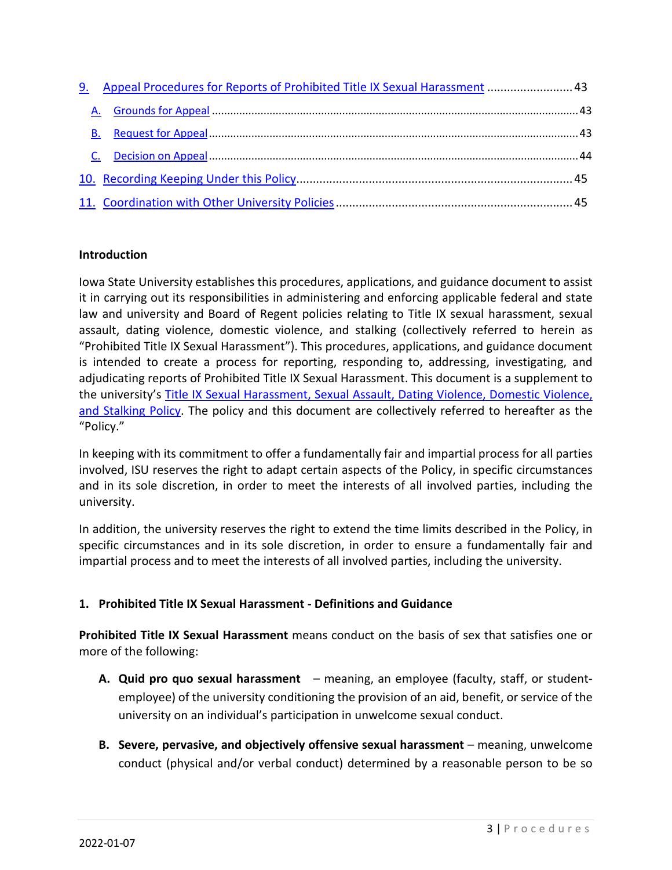| 9. Appeal Procedures for Reports of Prohibited Title IX Sexual Harassment  43 |  |
|-------------------------------------------------------------------------------|--|
|                                                                               |  |
|                                                                               |  |
|                                                                               |  |
|                                                                               |  |
|                                                                               |  |

#### **Introduction**

Iowa State University establishes this procedures, applications, and guidance document to assist it in carrying out its responsibilities in administering and enforcing applicable federal and state law and university and Board of Regent policies relating to Title IX sexual harassment, sexual assault, dating violence, domestic violence, and stalking (collectively referred to herein as "Prohibited Title IX Sexual Harassment"). This procedures, applications, and guidance document is intended to create a process for reporting, responding to, addressing, investigating, and adjudicating reports of Prohibited Title IX Sexual Harassment. This document is a supplement to the university's [Title IX Sexual Harassment, Sexual Assault, Dating Violence, Domestic Violence,](https://www.policy.iastate.edu/policy/students/sexualmisconduct)  [and Stalking Policy.](https://www.policy.iastate.edu/policy/students/sexualmisconduct) The policy and this document are collectively referred to hereafter as the "Policy."

In keeping with its commitment to offer a fundamentally fair and impartial process for all parties involved, ISU reserves the right to adapt certain aspects of the Policy, in specific circumstances and in its sole discretion, in order to meet the interests of all involved parties, including the university.

In addition, the university reserves the right to extend the time limits described in the Policy, in specific circumstances and in its sole discretion, in order to ensure a fundamentally fair and impartial process and to meet the interests of all involved parties, including the university.

#### **1. Prohibited Title IX Sexual Harassment - Definitions and Guidance**

**Prohibited Title IX Sexual Harassment** means conduct on the basis of sex that satisfies one or more of the following:

- **A. Quid pro quo sexual harassment** meaning, an employee (faculty, staff, or studentemployee) of the university conditioning the provision of an aid, benefit, or service of the university on an individual's participation in unwelcome sexual conduct.
- **B. Severe, pervasive, and objectively offensive sexual harassment** meaning, unwelcome conduct (physical and/or verbal conduct) determined by a reasonable person to be so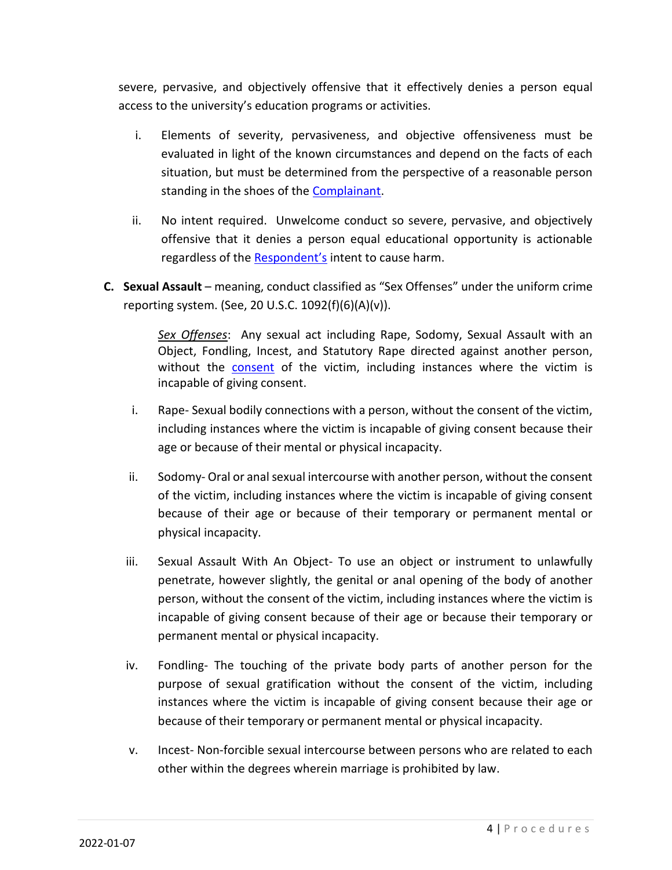severe, pervasive, and objectively offensive that it effectively denies a person equal access to the university's education programs or activities.

- i. Elements of severity, pervasiveness, and objective offensiveness must be evaluated in light of the known circumstances and depend on the facts of each situation, but must be determined from the perspective of a reasonable person standing in the shoes of the Complainant.
- ii. No intent required. Unwelcome conduct so severe, pervasive, and objectively offensive that it denies a person equal educational opportunity is actionable regardless of the Respondent's intent to cause harm.
- **C. Sexual Assault** meaning, conduct classified as "Sex Offenses" under the uniform crime reporting system. (See, 20 U.S.C. 1092(f)(6)(A)(v)).

*Sex Offenses*: Any sexual act including Rape, Sodomy, Sexual Assault with an Object, Fondling, Incest, and Statutory Rape directed against another person, without the **consent** of the victim, including instances where the victim is incapable of giving consent.

- i. Rape- Sexual bodily connections with a person, without the consent of the victim, including instances where the victim is incapable of giving consent because their age or because of their mental or physical incapacity.
- ii. Sodomy- Oral or anal sexual intercourse with another person, without the consent of the victim, including instances where the victim is incapable of giving consent because of their age or because of their temporary or permanent mental or physical incapacity.
- iii. Sexual Assault With An Object- To use an object or instrument to unlawfully penetrate, however slightly, the genital or anal opening of the body of another person, without the consent of the victim, including instances where the victim is incapable of giving consent because of their age or because their temporary or permanent mental or physical incapacity.
- iv. Fondling- The touching of the private body parts of another person for the purpose of sexual gratification without the consent of the victim, including instances where the victim is incapable of giving consent because their age or because of their temporary or permanent mental or physical incapacity.
- v. Incest- Non-forcible sexual intercourse between persons who are related to each other within the degrees wherein marriage is prohibited by law.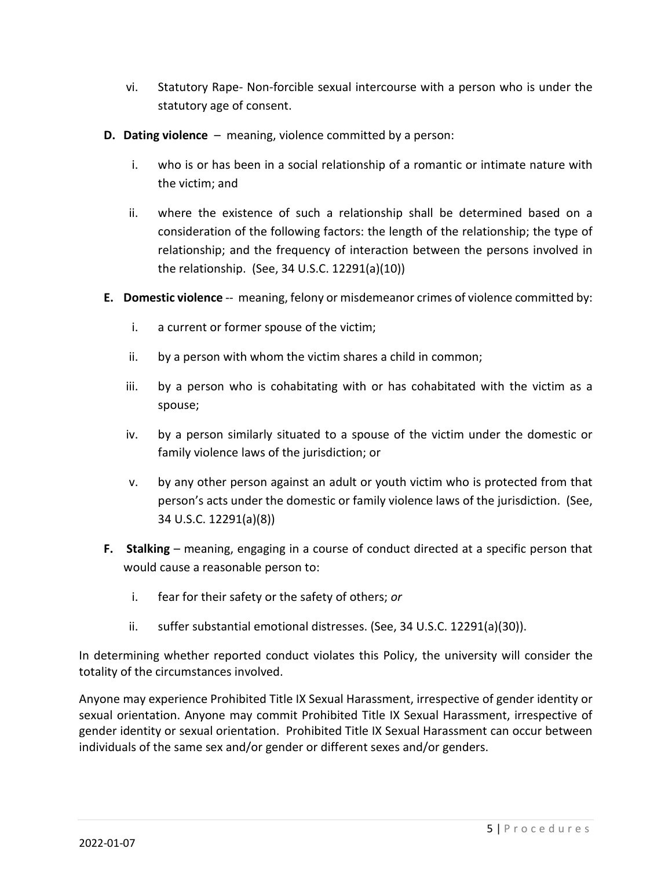- vi. Statutory Rape- Non-forcible sexual intercourse with a person who is under the statutory age of consent.
- **D. Dating violence** meaning, violence committed by a person:
	- i. who is or has been in a social relationship of a romantic or intimate nature with the victim; and
	- ii. where the existence of such a relationship shall be determined based on a consideration of the following factors: the length of the relationship; the type of relationship; and the frequency of interaction between the persons involved in the relationship. (See, 34 U.S.C. 12291(a)(10))
- **E. Domestic violence** -- meaning, felony or misdemeanor crimes of violence committed by:
	- i. a current or former spouse of the victim;
	- ii. by a person with whom the victim shares a child in common;
	- iii. by a person who is cohabitating with or has cohabitated with the victim as a spouse;
	- iv. by a person similarly situated to a spouse of the victim under the domestic or family violence laws of the jurisdiction; or
	- v. by any other person against an adult or youth victim who is protected from that person's acts under the domestic or family violence laws of the jurisdiction. (See, 34 U.S.C. 12291(a)(8))
- **F. Stalking** meaning, engaging in a course of conduct directed at a specific person that would cause a reasonable person to:
	- i. fear for their safety or the safety of others; *or*
	- ii. suffer substantial emotional distresses. (See, 34 U.S.C. 12291(a)(30)).

In determining whether reported conduct violates this Policy, the university will consider the totality of the circumstances involved.

Anyone may experience Prohibited Title IX Sexual Harassment, irrespective of gender identity or sexual orientation. Anyone may commit Prohibited Title IX Sexual Harassment, irrespective of gender identity or sexual orientation. Prohibited Title IX Sexual Harassment can occur between individuals of the same sex and/or gender or different sexes and/or genders.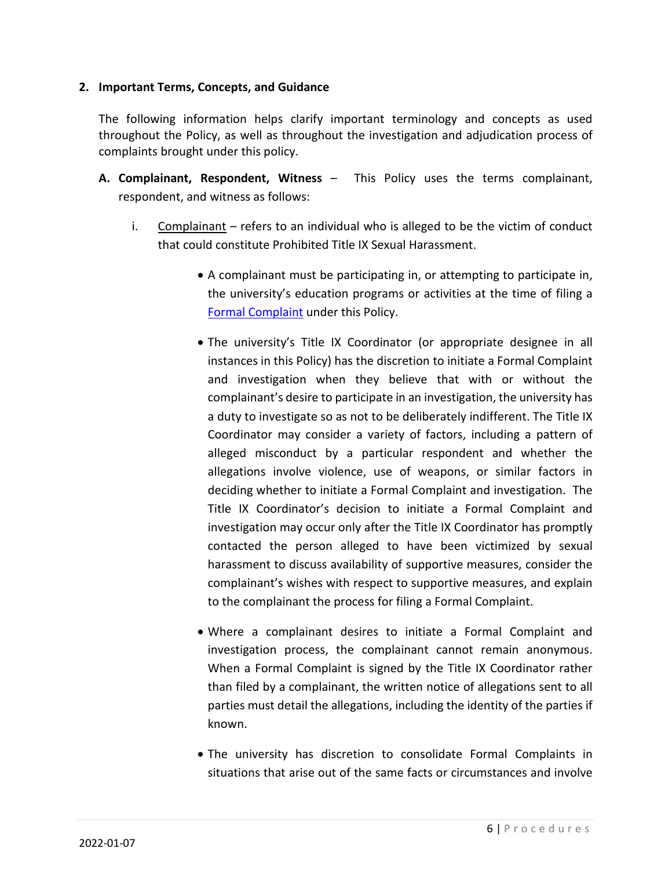#### **2. Important Terms, Concepts, and Guidance**

The following information helps clarify important terminology and concepts as used throughout the Policy, as well as throughout the investigation and adjudication process of complaints brought under this policy.

- **A. Complainant, Respondent, Witness** This Policy uses the terms complainant, respondent, and witness as follows:
	- i. Complainant refers to an individual who is alleged to be the victim of conduct that could constitute Prohibited Title IX Sexual Harassment.
		- A complainant must be participating in, or attempting to participate in, the university's education programs or activities at the time of filing a Formal Complaint under this Policy.
		- The university's Title IX Coordinator (or appropriate designee in all instances in this Policy) has the discretion to initiate a Formal Complaint and investigation when they believe that with or without the complainant's desire to participate in an investigation, the university has a duty to investigate so as not to be deliberately indifferent. The Title IX Coordinator may consider a variety of factors, including a pattern of alleged misconduct by a particular respondent and whether the allegations involve violence, use of weapons, or similar factors in deciding whether to initiate a Formal Complaint and investigation. The Title IX Coordinator's decision to initiate a Formal Complaint and investigation may occur only after the Title IX Coordinator has promptly contacted the person alleged to have been victimized by sexual harassment to discuss availability of supportive measures, consider the complainant's wishes with respect to supportive measures, and explain to the complainant the process for filing a Formal Complaint.
		- Where a complainant desires to initiate a Formal Complaint and investigation process, the complainant cannot remain anonymous. When a Formal Complaint is signed by the Title IX Coordinator rather than filed by a complainant, the written notice of allegations sent to all parties must detail the allegations, including the identity of the parties if known.
		- The university has discretion to consolidate Formal Complaints in situations that arise out of the same facts or circumstances and involve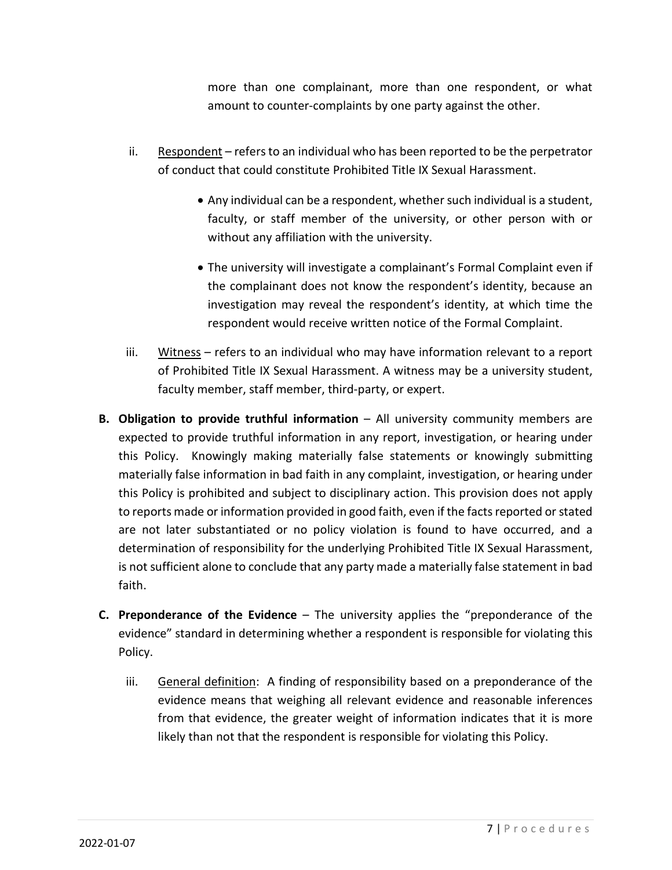more than one complainant, more than one respondent, or what amount to counter-complaints by one party against the other.

- ii. Respondent refers to an individual who has been reported to be the perpetrator of conduct that could constitute Prohibited Title IX Sexual Harassment.
	- Any individual can be a respondent, whether such individual is a student, faculty, or staff member of the university, or other person with or without any affiliation with the university.
	- The university will investigate a complainant's Formal Complaint even if the complainant does not know the respondent's identity, because an investigation may reveal the respondent's identity, at which time the respondent would receive written notice of the Formal Complaint.
- iii. Witness refers to an individual who may have information relevant to a report of Prohibited Title IX Sexual Harassment. A witness may be a university student, faculty member, staff member, third-party, or expert.
- **B. Obligation to provide truthful information** All university community members are expected to provide truthful information in any report, investigation, or hearing under this Policy. Knowingly making materially false statements or knowingly submitting materially false information in bad faith in any complaint, investigation, or hearing under this Policy is prohibited and subject to disciplinary action. This provision does not apply to reports made or information provided in good faith, even if the facts reported or stated are not later substantiated or no policy violation is found to have occurred, and a determination of responsibility for the underlying Prohibited Title IX Sexual Harassment, is not sufficient alone to conclude that any party made a materially false statement in bad faith.
- **C. Preponderance of the Evidence** The university applies the "preponderance of the evidence" standard in determining whether a respondent is responsible for violating this Policy.
	- iii. General definition: A finding of responsibility based on a preponderance of the evidence means that weighing all relevant evidence and reasonable inferences from that evidence, the greater weight of information indicates that it is more likely than not that the respondent is responsible for violating this Policy.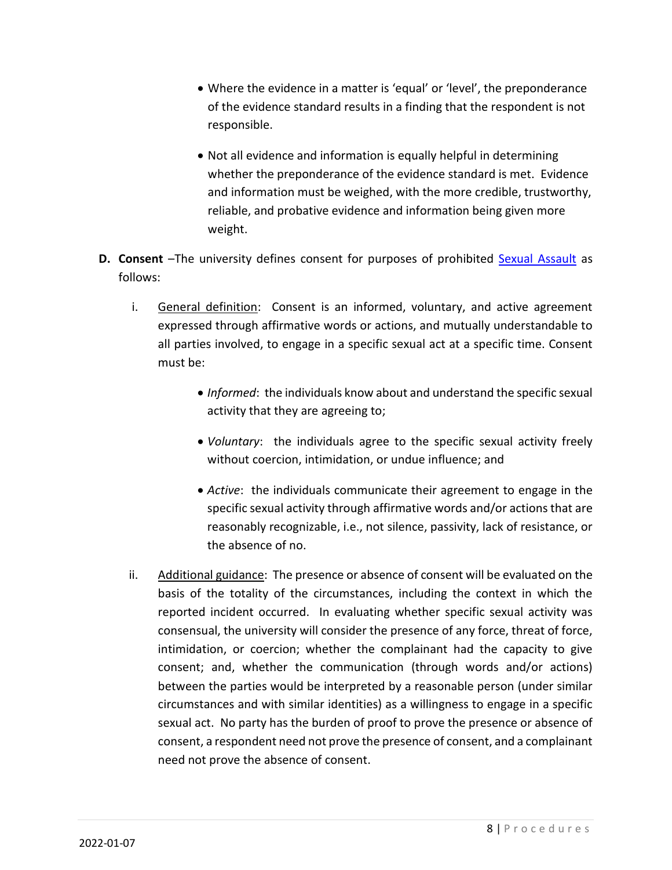- Where the evidence in a matter is 'equal' or 'level', the preponderance of the evidence standard results in a finding that the respondent is not responsible.
- Not all evidence and information is equally helpful in determining whether the preponderance of the evidence standard is met. Evidence and information must be weighed, with the more credible, trustworthy, reliable, and probative evidence and information being given more weight.
- **D. Consent** –The university defines consent for purposes of prohibited Sexual Assault as follows:
	- i. General definition: Consent is an informed, voluntary, and active agreement expressed through affirmative words or actions, and mutually understandable to all parties involved, to engage in a specific sexual act at a specific time. Consent must be:
		- *Informed*: the individuals know about and understand the specific sexual activity that they are agreeing to;
		- *Voluntary*: the individuals agree to the specific sexual activity freely without coercion, intimidation, or undue influence; and
		- *Active*: the individuals communicate their agreement to engage in the specific sexual activity through affirmative words and/or actions that are reasonably recognizable, i.e., not silence, passivity, lack of resistance, or the absence of no.
	- ii. Additional guidance: The presence or absence of consent will be evaluated on the basis of the totality of the circumstances, including the context in which the reported incident occurred. In evaluating whether specific sexual activity was consensual, the university will consider the presence of any force, threat of force, intimidation, or coercion; whether the complainant had the capacity to give consent; and, whether the communication (through words and/or actions) between the parties would be interpreted by a reasonable person (under similar circumstances and with similar identities) as a willingness to engage in a specific sexual act. No party has the burden of proof to prove the presence or absence of consent, a respondent need not prove the presence of consent, and a complainant need not prove the absence of consent.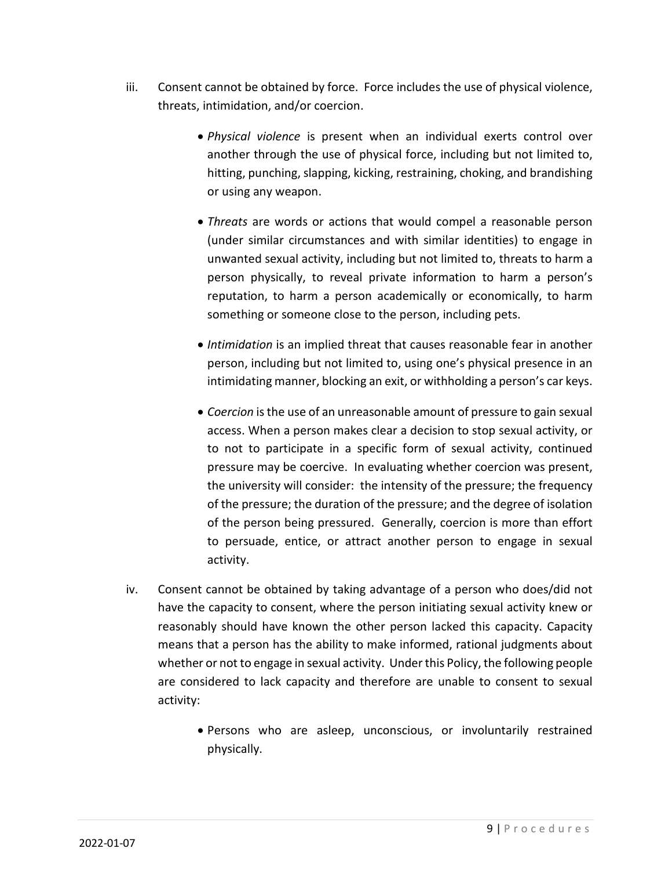- iii. Consent cannot be obtained by force. Force includes the use of physical violence, threats, intimidation, and/or coercion.
	- *Physical violence* is present when an individual exerts control over another through the use of physical force, including but not limited to, hitting, punching, slapping, kicking, restraining, choking, and brandishing or using any weapon.
	- *Threats* are words or actions that would compel a reasonable person (under similar circumstances and with similar identities) to engage in unwanted sexual activity, including but not limited to, threats to harm a person physically, to reveal private information to harm a person's reputation, to harm a person academically or economically, to harm something or someone close to the person, including pets.
	- *Intimidation* is an implied threat that causes reasonable fear in another person, including but not limited to, using one's physical presence in an intimidating manner, blocking an exit, or withholding a person's car keys.
	- *Coercion* is the use of an unreasonable amount of pressure to gain sexual access. When a person makes clear a decision to stop sexual activity, or to not to participate in a specific form of sexual activity, continued pressure may be coercive. In evaluating whether coercion was present, the university will consider: the intensity of the pressure; the frequency of the pressure; the duration of the pressure; and the degree of isolation of the person being pressured. Generally, coercion is more than effort to persuade, entice, or attract another person to engage in sexual activity.
- iv. Consent cannot be obtained by taking advantage of a person who does/did not have the capacity to consent, where the person initiating sexual activity knew or reasonably should have known the other person lacked this capacity. Capacity means that a person has the ability to make informed, rational judgments about whether or not to engage in sexual activity. Under this Policy, the following people are considered to lack capacity and therefore are unable to consent to sexual activity:
	- Persons who are asleep, unconscious, or involuntarily restrained physically.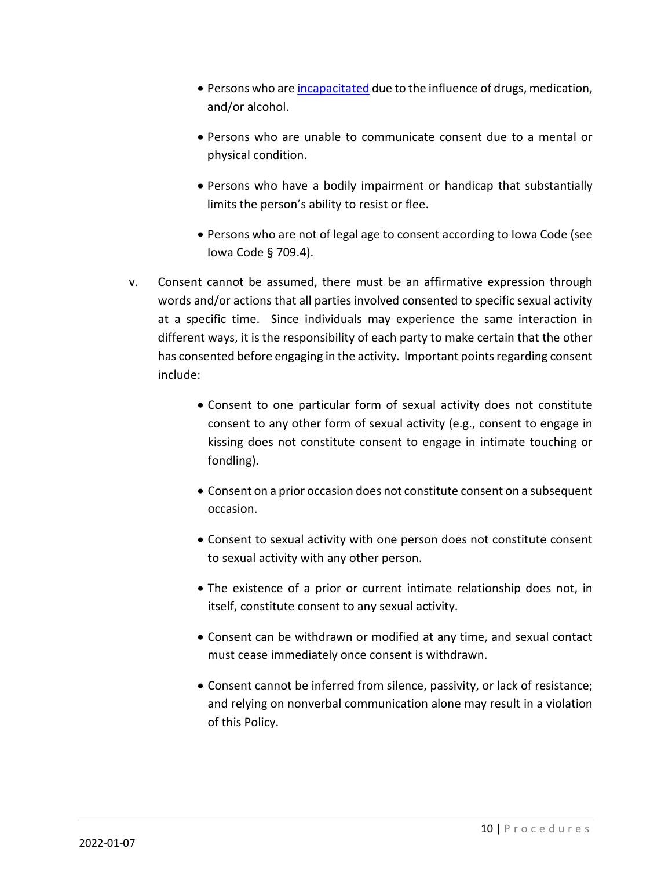- Persons who are incapacitated due to the influence of drugs, medication, and/or alcohol.
- Persons who are unable to communicate consent due to a mental or physical condition.
- Persons who have a bodily impairment or handicap that substantially limits the person's ability to resist or flee.
- Persons who are not of legal age to consent according to Iowa Code (see Iowa Code § 709.4).
- v. Consent cannot be assumed, there must be an affirmative expression through words and/or actions that all parties involved consented to specific sexual activity at a specific time. Since individuals may experience the same interaction in different ways, it is the responsibility of each party to make certain that the other has consented before engaging in the activity. Important points regarding consent include:
	- Consent to one particular form of sexual activity does not constitute consent to any other form of sexual activity (e.g., consent to engage in kissing does not constitute consent to engage in intimate touching or fondling).
	- Consent on a prior occasion does not constitute consent on a subsequent occasion.
	- Consent to sexual activity with one person does not constitute consent to sexual activity with any other person.
	- The existence of a prior or current intimate relationship does not, in itself, constitute consent to any sexual activity.
	- Consent can be withdrawn or modified at any time, and sexual contact must cease immediately once consent is withdrawn.
	- Consent cannot be inferred from silence, passivity, or lack of resistance; and relying on nonverbal communication alone may result in a violation of this Policy.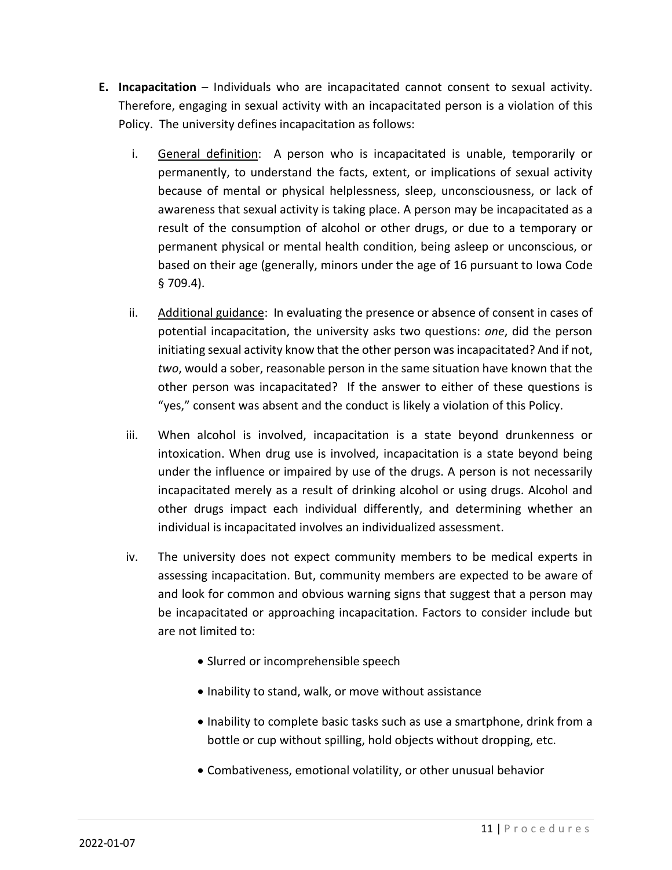- **E. Incapacitation** Individuals who are incapacitated cannot consent to sexual activity. Therefore, engaging in sexual activity with an incapacitated person is a violation of this Policy. The university defines incapacitation as follows:
	- i. General definition: A person who is incapacitated is unable, temporarily or permanently, to understand the facts, extent, or implications of sexual activity because of mental or physical helplessness, sleep, unconsciousness, or lack of awareness that sexual activity is taking place. A person may be incapacitated as a result of the consumption of alcohol or other drugs, or due to a temporary or permanent physical or mental health condition, being asleep or unconscious, or based on their age (generally, minors under the age of 16 pursuant to Iowa Code § 709.4).
	- ii. Additional guidance: In evaluating the presence or absence of consent in cases of potential incapacitation, the university asks two questions: *one*, did the person initiating sexual activity know that the other person was incapacitated? And if not, *two*, would a sober, reasonable person in the same situation have known that the other person was incapacitated? If the answer to either of these questions is "yes," consent was absent and the conduct is likely a violation of this Policy.
	- iii. When alcohol is involved, incapacitation is a state beyond drunkenness or intoxication. When drug use is involved, incapacitation is a state beyond being under the influence or impaired by use of the drugs. A person is not necessarily incapacitated merely as a result of drinking alcohol or using drugs. Alcohol and other drugs impact each individual differently, and determining whether an individual is incapacitated involves an individualized assessment.
	- iv. The university does not expect community members to be medical experts in assessing incapacitation. But, community members are expected to be aware of and look for common and obvious warning signs that suggest that a person may be incapacitated or approaching incapacitation. Factors to consider include but are not limited to:
		- Slurred or incomprehensible speech
		- Inability to stand, walk, or move without assistance
		- Inability to complete basic tasks such as use a smartphone, drink from a bottle or cup without spilling, hold objects without dropping, etc.
		- Combativeness, emotional volatility, or other unusual behavior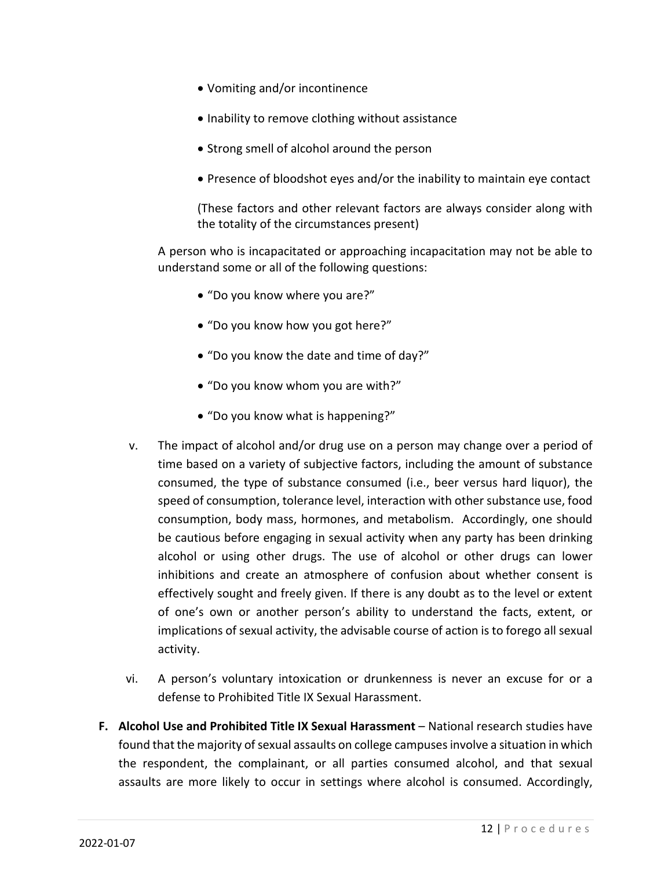- Vomiting and/or incontinence
- Inability to remove clothing without assistance
- Strong smell of alcohol around the person
- Presence of bloodshot eyes and/or the inability to maintain eye contact

(These factors and other relevant factors are always consider along with the totality of the circumstances present)

A person who is incapacitated or approaching incapacitation may not be able to understand some or all of the following questions:

- "Do you know where you are?"
- "Do you know how you got here?"
- "Do you know the date and time of day?"
- "Do you know whom you are with?"
- "Do you know what is happening?"
- v. The impact of alcohol and/or drug use on a person may change over a period of time based on a variety of subjective factors, including the amount of substance consumed, the type of substance consumed (i.e., beer versus hard liquor), the speed of consumption, tolerance level, interaction with other substance use, food consumption, body mass, hormones, and metabolism. Accordingly, one should be cautious before engaging in sexual activity when any party has been drinking alcohol or using other drugs. The use of alcohol or other drugs can lower inhibitions and create an atmosphere of confusion about whether consent is effectively sought and freely given. If there is any doubt as to the level or extent of one's own or another person's ability to understand the facts, extent, or implications of sexual activity, the advisable course of action is to forego all sexual activity.
- vi. A person's voluntary intoxication or drunkenness is never an excuse for or a defense to Prohibited Title IX Sexual Harassment.
- **F. Alcohol Use and Prohibited Title IX Sexual Harassment** National research studies have found that the majority of sexual assaults on college campuses involve a situation in which the respondent, the complainant, or all parties consumed alcohol, and that sexual assaults are more likely to occur in settings where alcohol is consumed. Accordingly,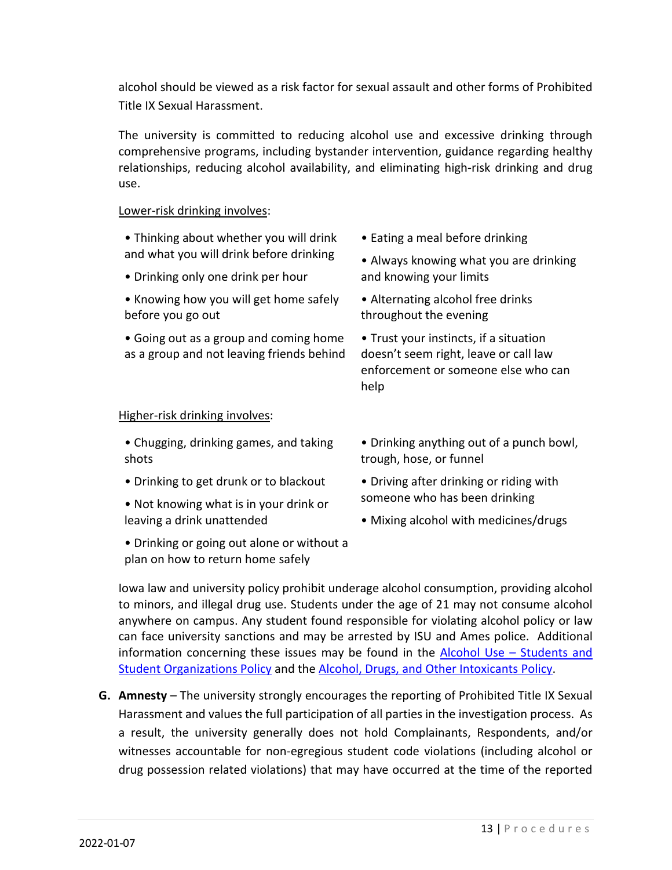alcohol should be viewed as a risk factor for sexual assault and other forms of Prohibited Title IX Sexual Harassment.

The university is committed to reducing alcohol use and excessive drinking through comprehensive programs, including bystander intervention, guidance regarding healthy relationships, reducing alcohol availability, and eliminating high-risk drinking and drug use.

#### Lower-risk drinking involves:

- Thinking about whether you will drink and what you will drink before drinking
- Drinking only one drink per hour
- Knowing how you will get home safely before you go out
- Going out as a group and coming home as a group and not leaving friends behind
- Eating a meal before drinking
- Always knowing what you are drinking and knowing your limits
- Alternating alcohol free drinks throughout the evening

• Trust your instincts, if a situation doesn't seem right, leave or call law enforcement or someone else who can help

#### Higher-risk drinking involves:

- Chugging, drinking games, and taking shots
- Drinking to get drunk or to blackout
- Not knowing what is in your drink or leaving a drink unattended
- Drinking or going out alone or without a plan on how to return home safely
- Drinking anything out of a punch bowl, trough, hose, or funnel
- Driving after drinking or riding with someone who has been drinking
- Mixing alcohol with medicines/drugs

Iowa law and university policy prohibit underage alcohol consumption, providing alcohol to minors, and illegal drug use. Students under the age of 21 may not consume alcohol anywhere on campus. Any student found responsible for violating alcohol policy or law can face university sanctions and may be arrested by ISU and Ames police. Additional information concerning these issues may be found in the Alcohol Use – Students and Student Organizations Policy and the Alcohol, Drugs, and Other Intoxicants Policy.

**G. Amnesty** – The university strongly encourages the reporting of Prohibited Title IX Sexual Harassment and values the full participation of all parties in the investigation process. As a result, the university generally does not hold Complainants, Respondents, and/or witnesses accountable for non-egregious student code violations (including alcohol or drug possession related violations) that may have occurred at the time of the reported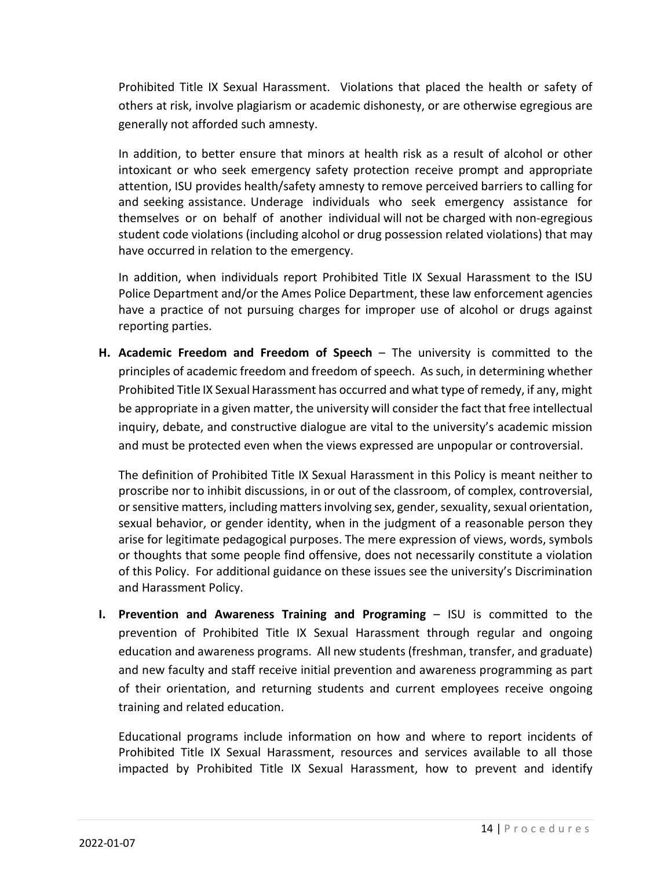Prohibited Title IX Sexual Harassment. Violations that placed the health or safety of others at risk, involve plagiarism or academic dishonesty, or are otherwise egregious are generally not afforded such amnesty.

In addition, to better ensure that minors at health risk as a result of alcohol or other intoxicant or who seek emergency safety protection receive prompt and appropriate attention, ISU provides health/safety amnesty to remove perceived barriers to calling for and seeking assistance. Underage individuals who seek emergency assistance for themselves or on behalf of another individual will not be charged with non-egregious student code violations (including alcohol or drug possession related violations) that may have occurred in relation to the emergency.

In addition, when individuals report Prohibited Title IX Sexual Harassment to the ISU Police Department and/or the Ames Police Department, these law enforcement agencies have a practice of not pursuing charges for improper use of alcohol or drugs against reporting parties.

**H. Academic Freedom and Freedom of Speech** – The university is committed to the principles of academic freedom and freedom of speech. As such, in determining whether Prohibited Title IX Sexual Harassment has occurred and what type of remedy, if any, might be appropriate in a given matter, the university will consider the fact that free intellectual inquiry, debate, and constructive dialogue are vital to the university's academic mission and must be protected even when the views expressed are unpopular or controversial.

The definition of Prohibited Title IX Sexual Harassment in this Policy is meant neither to proscribe nor to inhibit discussions, in or out of the classroom, of complex, controversial, or sensitive matters, including matters involving sex, gender, sexuality, sexual orientation, sexual behavior, or gender identity, when in the judgment of a reasonable person they arise for legitimate pedagogical purposes. The mere expression of views, words, symbols or thoughts that some people find offensive, does not necessarily constitute a violation of this Policy. For additional guidance on these issues see the university's Discrimination and Harassment Policy.

**I. Prevention and Awareness Training and Programing** – ISU is committed to the prevention of Prohibited Title IX Sexual Harassment through regular and ongoing education and awareness programs. All new students (freshman, transfer, and graduate) and new faculty and staff receive initial prevention and awareness programming as part of their orientation, and returning students and current employees receive ongoing training and related education.

Educational programs include information on how and where to report incidents of Prohibited Title IX Sexual Harassment, resources and services available to all those impacted by Prohibited Title IX Sexual Harassment, how to prevent and identify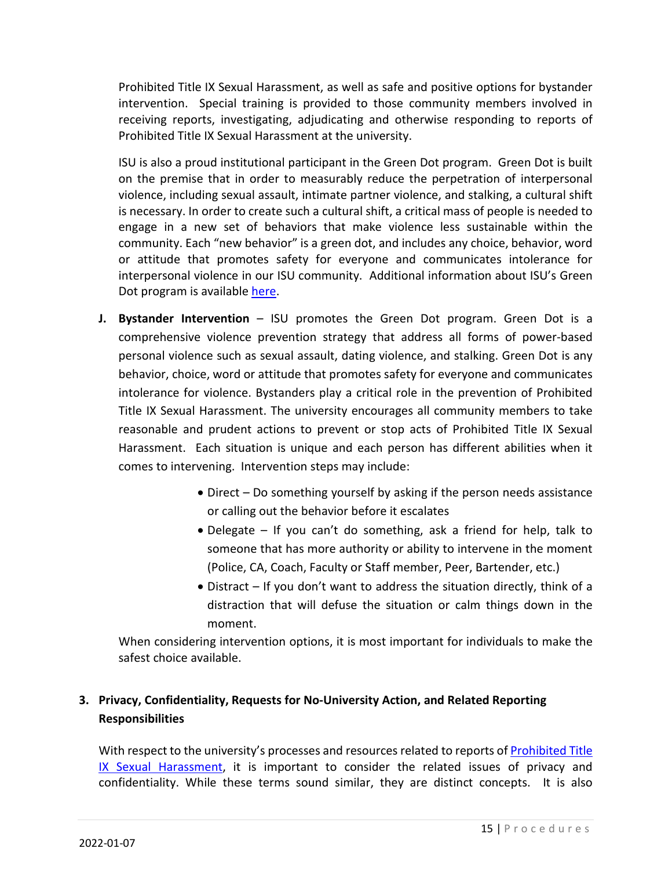Prohibited Title IX Sexual Harassment, as well as safe and positive options for bystander intervention. Special training is provided to those community members involved in receiving reports, investigating, adjudicating and otherwise responding to reports of Prohibited Title IX Sexual Harassment at the university.

ISU is also a proud institutional participant in the Green Dot program. Green Dot is built on the premise that in order to measurably reduce the perpetration of interpersonal violence, including sexual assault, intimate partner violence, and stalking, a cultural shift is necessary. In order to create such a cultural shift, a critical mass of people is needed to engage in a new set of behaviors that make violence less sustainable within the community. Each "new behavior" is a green dot, and includes any choice, behavior, word or attitude that promotes safety for everyone and communicates intolerance for interpersonal violence in our ISU community. Additional information about ISU's Green Dot program is available here.

- **J. Bystander Intervention** ISU promotes the Green Dot program. Green Dot is a comprehensive violence prevention strategy that address all forms of power-based personal violence such as sexual assault, dating violence, and stalking. Green Dot is any behavior, choice, word or attitude that promotes safety for everyone and communicates intolerance for violence. Bystanders play a critical role in the prevention of Prohibited Title IX Sexual Harassment. The university encourages all community members to take reasonable and prudent actions to prevent or stop acts of Prohibited Title IX Sexual Harassment. Each situation is unique and each person has different abilities when it comes to intervening. Intervention steps may include:
	- Direct Do something yourself by asking if the person needs assistance or calling out the behavior before it escalates
	- Delegate If you can't do something, ask a friend for help, talk to someone that has more authority or ability to intervene in the moment (Police, CA, Coach, Faculty or Staff member, Peer, Bartender, etc.)
	- Distract If you don't want to address the situation directly, think of a distraction that will defuse the situation or calm things down in the moment.

When considering intervention options, it is most important for individuals to make the safest choice available.

## **3. Privacy, Confidentiality, Requests for No-University Action, and Related Reporting Responsibilities**

With respect to the university's processes and resources related to reports of Prohibited Title IX Sexual Harassment, it is important to consider the related issues of privacy and confidentiality. While these terms sound similar, they are distinct concepts. It is also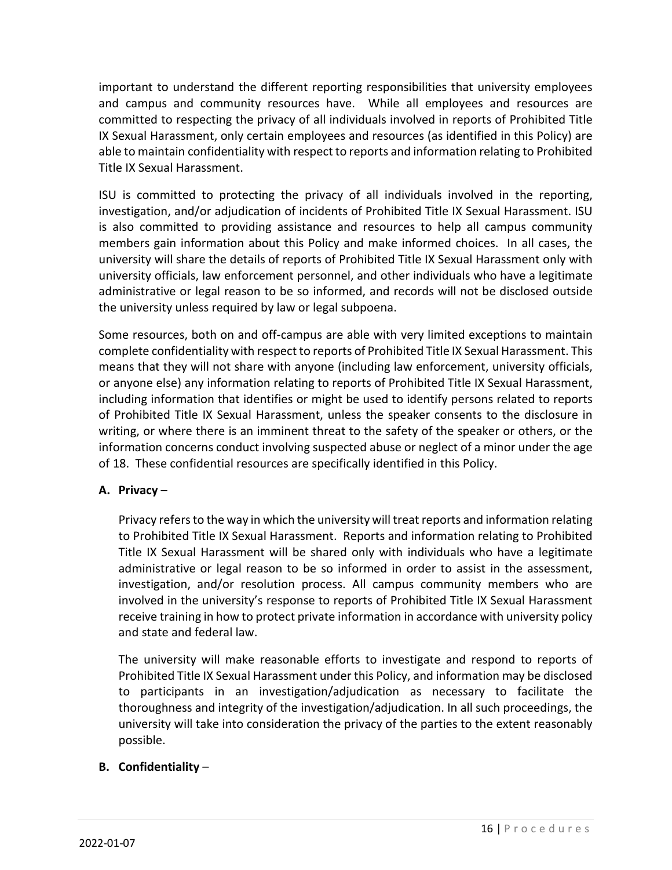important to understand the different reporting responsibilities that university employees and campus and community resources have. While all employees and resources are committed to respecting the privacy of all individuals involved in reports of Prohibited Title IX Sexual Harassment, only certain employees and resources (as identified in this Policy) are able to maintain confidentiality with respect to reports and information relating to Prohibited Title IX Sexual Harassment.

ISU is committed to protecting the privacy of all individuals involved in the reporting, investigation, and/or adjudication of incidents of Prohibited Title IX Sexual Harassment. ISU is also committed to providing assistance and resources to help all campus community members gain information about this Policy and make informed choices. In all cases, the university will share the details of reports of Prohibited Title IX Sexual Harassment only with university officials, law enforcement personnel, and other individuals who have a legitimate administrative or legal reason to be so informed, and records will not be disclosed outside the university unless required by law or legal subpoena.

Some resources, both on and off-campus are able with very limited exceptions to maintain complete confidentiality with respect to reports of Prohibited Title IX Sexual Harassment. This means that they will not share with anyone (including law enforcement, university officials, or anyone else) any information relating to reports of Prohibited Title IX Sexual Harassment, including information that identifies or might be used to identify persons related to reports of Prohibited Title IX Sexual Harassment, unless the speaker consents to the disclosure in writing, or where there is an imminent threat to the safety of the speaker or others, or the information concerns conduct involving suspected abuse or neglect of a minor under the age of 18. These confidential resources are specifically identified in this Policy.

#### **A. Privacy** –

Privacy refers to the way in which the university will treat reports and information relating to Prohibited Title IX Sexual Harassment. Reports and information relating to Prohibited Title IX Sexual Harassment will be shared only with individuals who have a legitimate administrative or legal reason to be so informed in order to assist in the assessment, investigation, and/or resolution process. All campus community members who are involved in the university's response to reports of Prohibited Title IX Sexual Harassment receive training in how to protect private information in accordance with university policy and state and federal law.

The university will make reasonable efforts to investigate and respond to reports of Prohibited Title IX Sexual Harassment under this Policy, and information may be disclosed to participants in an investigation/adjudication as necessary to facilitate the thoroughness and integrity of the investigation/adjudication. In all such proceedings, the university will take into consideration the privacy of the parties to the extent reasonably possible.

#### **B. Confidentiality** –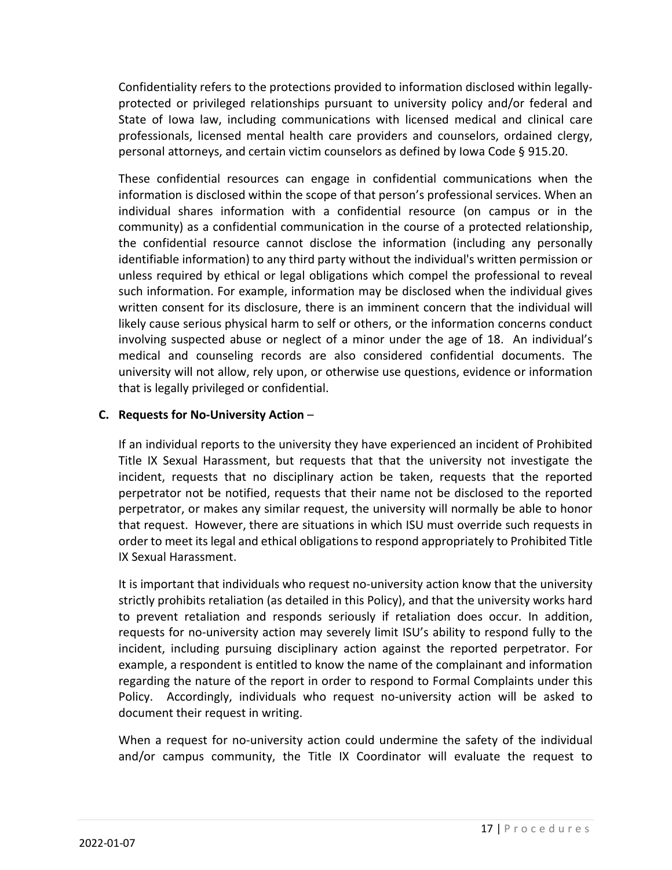Confidentiality refers to the protections provided to information disclosed within legallyprotected or privileged relationships pursuant to university policy and/or federal and State of Iowa law, including communications with licensed medical and clinical care professionals, licensed mental health care providers and counselors, ordained clergy, personal attorneys, and certain victim counselors as defined by Iowa Code § 915.20.

These confidential resources can engage in confidential communications when the information is disclosed within the scope of that person's professional services. When an individual shares information with a confidential resource (on campus or in the community) as a confidential communication in the course of a protected relationship, the confidential resource cannot disclose the information (including any personally identifiable information) to any third party without the individual's written permission or unless required by ethical or legal obligations which compel the professional to reveal such information. For example, information may be disclosed when the individual gives written consent for its disclosure, there is an imminent concern that the individual will likely cause serious physical harm to self or others, or the information concerns conduct involving suspected abuse or neglect of a minor under the age of 18. An individual's medical and counseling records are also considered confidential documents. The university will not allow, rely upon, or otherwise use questions, evidence or information that is legally privileged or confidential.

#### **C. Requests for No-University Action** –

If an individual reports to the university they have experienced an incident of Prohibited Title IX Sexual Harassment, but requests that that the university not investigate the incident, requests that no disciplinary action be taken, requests that the reported perpetrator not be notified, requests that their name not be disclosed to the reported perpetrator, or makes any similar request, the university will normally be able to honor that request. However, there are situations in which ISU must override such requests in order to meet its legal and ethical obligations to respond appropriately to Prohibited Title IX Sexual Harassment.

It is important that individuals who request no-university action know that the university strictly prohibits retaliation (as detailed in this Policy), and that the university works hard to prevent retaliation and responds seriously if retaliation does occur. In addition, requests for no-university action may severely limit ISU's ability to respond fully to the incident, including pursuing disciplinary action against the reported perpetrator. For example, a respondent is entitled to know the name of the complainant and information regarding the nature of the report in order to respond to Formal Complaints under this Policy. Accordingly, individuals who request no-university action will be asked to document their request in writing.

When a request for no-university action could undermine the safety of the individual and/or campus community, the Title IX Coordinator will evaluate the request to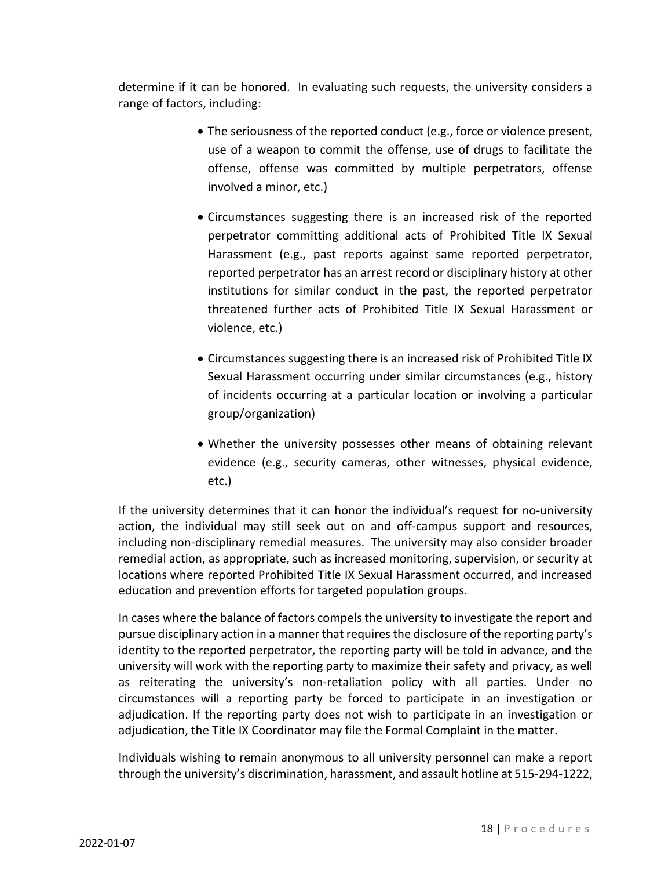determine if it can be honored. In evaluating such requests, the university considers a range of factors, including:

- The seriousness of the reported conduct (e.g., force or violence present, use of a weapon to commit the offense, use of drugs to facilitate the offense, offense was committed by multiple perpetrators, offense involved a minor, etc.)
- Circumstances suggesting there is an increased risk of the reported perpetrator committing additional acts of Prohibited Title IX Sexual Harassment (e.g., past reports against same reported perpetrator, reported perpetrator has an arrest record or disciplinary history at other institutions for similar conduct in the past, the reported perpetrator threatened further acts of Prohibited Title IX Sexual Harassment or violence, etc.)
- Circumstances suggesting there is an increased risk of Prohibited Title IX Sexual Harassment occurring under similar circumstances (e.g., history of incidents occurring at a particular location or involving a particular group/organization)
- Whether the university possesses other means of obtaining relevant evidence (e.g., security cameras, other witnesses, physical evidence, etc.)

If the university determines that it can honor the individual's request for no-university action, the individual may still seek out on and off-campus support and resources, including non-disciplinary remedial measures. The university may also consider broader remedial action, as appropriate, such as increased monitoring, supervision, or security at locations where reported Prohibited Title IX Sexual Harassment occurred, and increased education and prevention efforts for targeted population groups.

In cases where the balance of factors compels the university to investigate the report and pursue disciplinary action in a manner that requires the disclosure of the reporting party's identity to the reported perpetrator, the reporting party will be told in advance, and the university will work with the reporting party to maximize their safety and privacy, as well as reiterating the university's non-retaliation policy with all parties. Under no circumstances will a reporting party be forced to participate in an investigation or adjudication. If the reporting party does not wish to participate in an investigation or adjudication, the Title IX Coordinator may file the Formal Complaint in the matter.

Individuals wishing to remain anonymous to all university personnel can make a report through the university's discrimination, harassment, and assault hotline at 515-294-1222,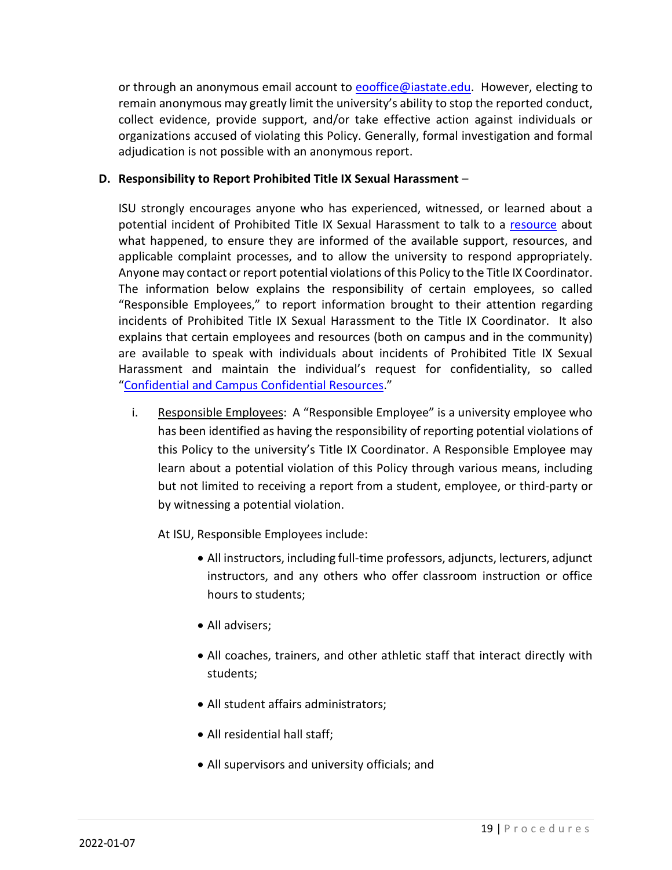or through an anonymous email account to eooffice@iastate.edu. However, electing to remain anonymous may greatly limit the university's ability to stop the reported conduct, collect evidence, provide support, and/or take effective action against individuals or organizations accused of violating this Policy. Generally, formal investigation and formal adjudication is not possible with an anonymous report.

#### **D. Responsibility to Report Prohibited Title IX Sexual Harassment** –

ISU strongly encourages anyone who has experienced, witnessed, or learned about a potential incident of Prohibited Title IX Sexual Harassment to talk to a resource about what happened, to ensure they are informed of the available support, resources, and applicable complaint processes, and to allow the university to respond appropriately. Anyone may contact or report potential violations of this Policy to the Title IX Coordinator. The information below explains the responsibility of certain employees, so called "Responsible Employees," to report information brought to their attention regarding incidents of Prohibited Title IX Sexual Harassment to the Title IX Coordinator. It also explains that certain employees and resources (both on campus and in the community) are available to speak with individuals about incidents of Prohibited Title IX Sexual Harassment and maintain the individual's request for confidentiality, so called "Confidential and Campus Confidential Resources."

i. Responsible Employees: A "Responsible Employee" is a university employee who has been identified as having the responsibility of reporting potential violations of this Policy to the university's Title IX Coordinator. A Responsible Employee may learn about a potential violation of this Policy through various means, including but not limited to receiving a report from a student, employee, or third-party or by witnessing a potential violation.

At ISU, Responsible Employees include:

- All instructors, including full-time professors, adjuncts, lecturers, adjunct instructors, and any others who offer classroom instruction or office hours to students;
- All advisers;
- All coaches, trainers, and other athletic staff that interact directly with students;
- All student affairs administrators;
- All residential hall staff;
- All supervisors and university officials; and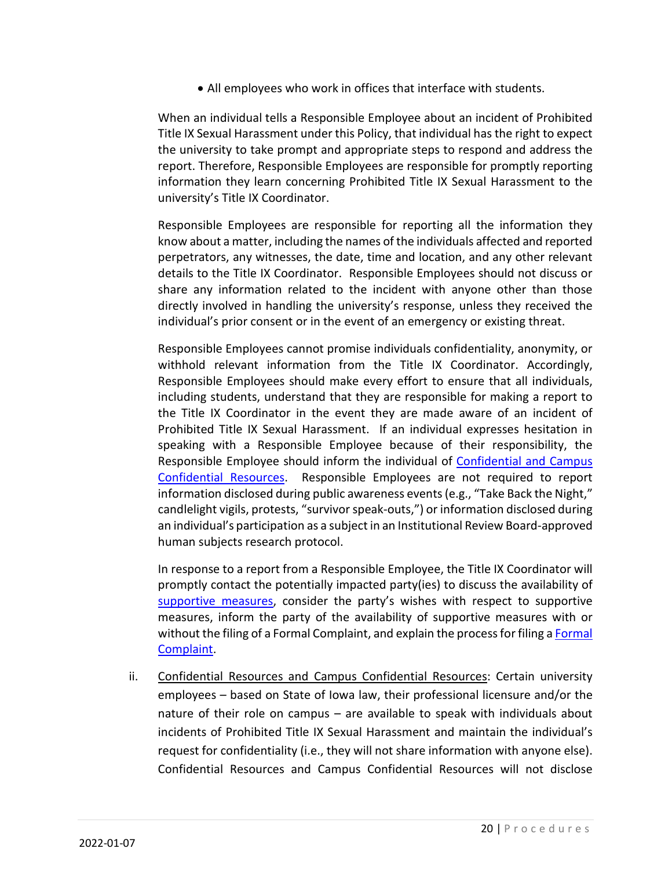• All employees who work in offices that interface with students.

When an individual tells a Responsible Employee about an incident of Prohibited Title IX Sexual Harassment under this Policy, that individual has the right to expect the university to take prompt and appropriate steps to respond and address the report. Therefore, Responsible Employees are responsible for promptly reporting information they learn concerning Prohibited Title IX Sexual Harassment to the university's Title IX Coordinator.

Responsible Employees are responsible for reporting all the information they know about a matter, including the names of the individuals affected and reported perpetrators, any witnesses, the date, time and location, and any other relevant details to the Title IX Coordinator. Responsible Employees should not discuss or share any information related to the incident with anyone other than those directly involved in handling the university's response, unless they received the individual's prior consent or in the event of an emergency or existing threat.

Responsible Employees cannot promise individuals confidentiality, anonymity, or withhold relevant information from the Title IX Coordinator. Accordingly, Responsible Employees should make every effort to ensure that all individuals, including students, understand that they are responsible for making a report to the Title IX Coordinator in the event they are made aware of an incident of Prohibited Title IX Sexual Harassment. If an individual expresses hesitation in speaking with a Responsible Employee because of their responsibility, the Responsible Employee should inform the individual of Confidential and Campus Confidential Resources. Responsible Employees are not required to report information disclosed during public awareness events (e.g., "Take Back the Night," candlelight vigils, protests, "survivor speak-outs,") or information disclosed during an individual's participation as a subject in an Institutional Review Board-approved human subjects research protocol.

In response to a report from a Responsible Employee, the Title IX Coordinator will promptly contact the potentially impacted party(ies) to discuss the availability of supportive measures, consider the party's wishes with respect to supportive measures, inform the party of the availability of supportive measures with or without the filing of a Formal Complaint, and explain the process for filing a Formal Complaint.

ii. Confidential Resources and Campus Confidential Resources: Certain university employees – based on State of Iowa law, their professional licensure and/or the nature of their role on campus – are available to speak with individuals about incidents of Prohibited Title IX Sexual Harassment and maintain the individual's request for confidentiality (i.e., they will not share information with anyone else). Confidential Resources and Campus Confidential Resources will not disclose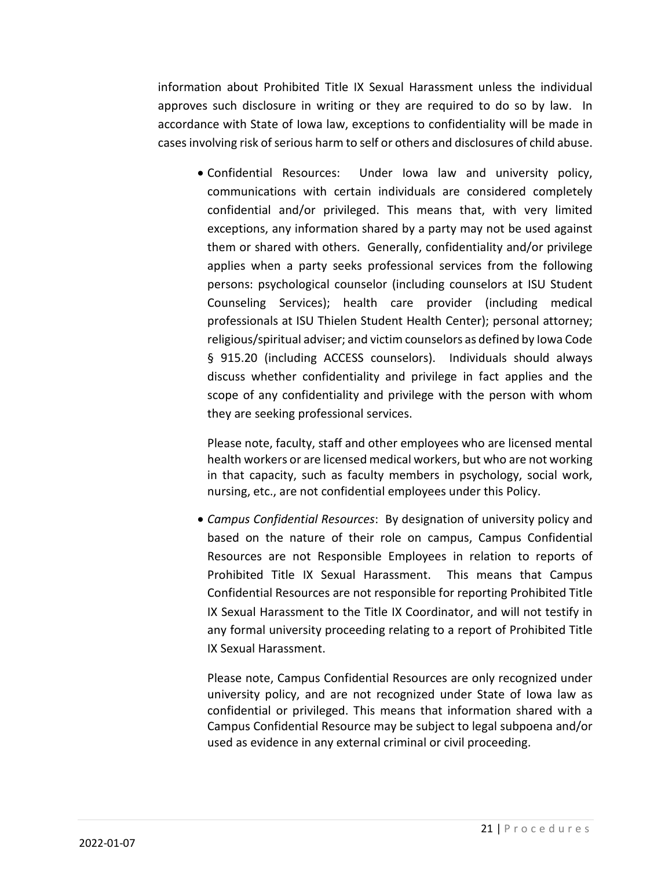information about Prohibited Title IX Sexual Harassment unless the individual approves such disclosure in writing or they are required to do so by law. In accordance with State of Iowa law, exceptions to confidentiality will be made in cases involving risk of serious harm to self or others and disclosures of child abuse.

• Confidential Resources: Under Iowa law and university policy, communications with certain individuals are considered completely confidential and/or privileged. This means that, with very limited exceptions, any information shared by a party may not be used against them or shared with others. Generally, confidentiality and/or privilege applies when a party seeks professional services from the following persons: psychological counselor (including counselors at ISU Student Counseling Services); health care provider (including medical professionals at ISU Thielen Student Health Center); personal attorney; religious/spiritual adviser; and victim counselors as defined by Iowa Code § 915.20 (including ACCESS counselors). Individuals should always discuss whether confidentiality and privilege in fact applies and the scope of any confidentiality and privilege with the person with whom they are seeking professional services.

Please note, faculty, staff and other employees who are licensed mental health workers or are licensed medical workers, but who are not working in that capacity, such as faculty members in psychology, social work, nursing, etc., are not confidential employees under this Policy.

• *Campus Confidential Resources*: By designation of university policy and based on the nature of their role on campus, Campus Confidential Resources are not Responsible Employees in relation to reports of Prohibited Title IX Sexual Harassment. This means that Campus Confidential Resources are not responsible for reporting Prohibited Title IX Sexual Harassment to the Title IX Coordinator, and will not testify in any formal university proceeding relating to a report of Prohibited Title IX Sexual Harassment.

Please note, Campus Confidential Resources are only recognized under university policy, and are not recognized under State of Iowa law as confidential or privileged. This means that information shared with a Campus Confidential Resource may be subject to legal subpoena and/or used as evidence in any external criminal or civil proceeding.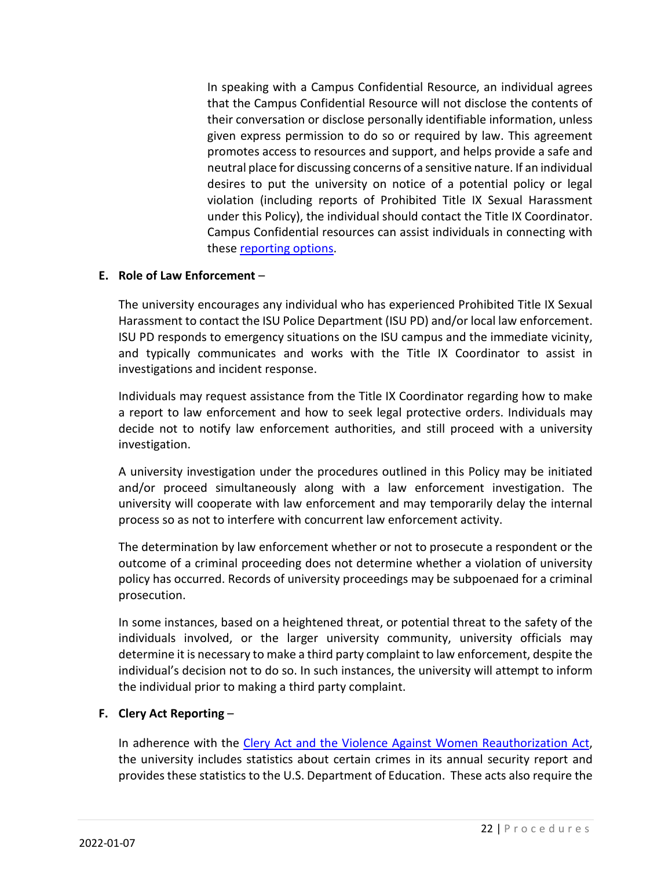In speaking with a Campus Confidential Resource, an individual agrees that the Campus Confidential Resource will not disclose the contents of their conversation or disclose personally identifiable information, unless given express permission to do so or required by law. This agreement promotes access to resources and support, and helps provide a safe and neutral place for discussing concerns of a sensitive nature. If an individual desires to put the university on notice of a potential policy or legal violation (including reports of Prohibited Title IX Sexual Harassment under this Policy), the individual should contact the Title IX Coordinator. Campus Confidential resources can assist individuals in connecting with these reporting options.

#### **E. Role of Law Enforcement** –

The university encourages any individual who has experienced Prohibited Title IX Sexual Harassment to contact the ISU Police Department (ISU PD) and/or local law enforcement. ISU PD responds to emergency situations on the ISU campus and the immediate vicinity, and typically communicates and works with the Title IX Coordinator to assist in investigations and incident response.

Individuals may request assistance from the Title IX Coordinator regarding how to make a report to law enforcement and how to seek legal protective orders. Individuals may decide not to notify law enforcement authorities, and still proceed with a university investigation.

A university investigation under the procedures outlined in this Policy may be initiated and/or proceed simultaneously along with a law enforcement investigation. The university will cooperate with law enforcement and may temporarily delay the internal process so as not to interfere with concurrent law enforcement activity.

The determination by law enforcement whether or not to prosecute a respondent or the outcome of a criminal proceeding does not determine whether a violation of university policy has occurred. Records of university proceedings may be subpoenaed for a criminal prosecution.

In some instances, based on a heightened threat, or potential threat to the safety of the individuals involved, or the larger university community, university officials may determine it is necessary to make a third party complaint to law enforcement, despite the individual's decision not to do so. In such instances, the university will attempt to inform the individual prior to making a third party complaint.

#### **F. Clery Act Reporting** –

In adherence with the Clery Act and the Violence Against Women Reauthorization Act, the university includes statistics about certain crimes in its annual security report and provides these statistics to the U.S. Department of Education. These acts also require the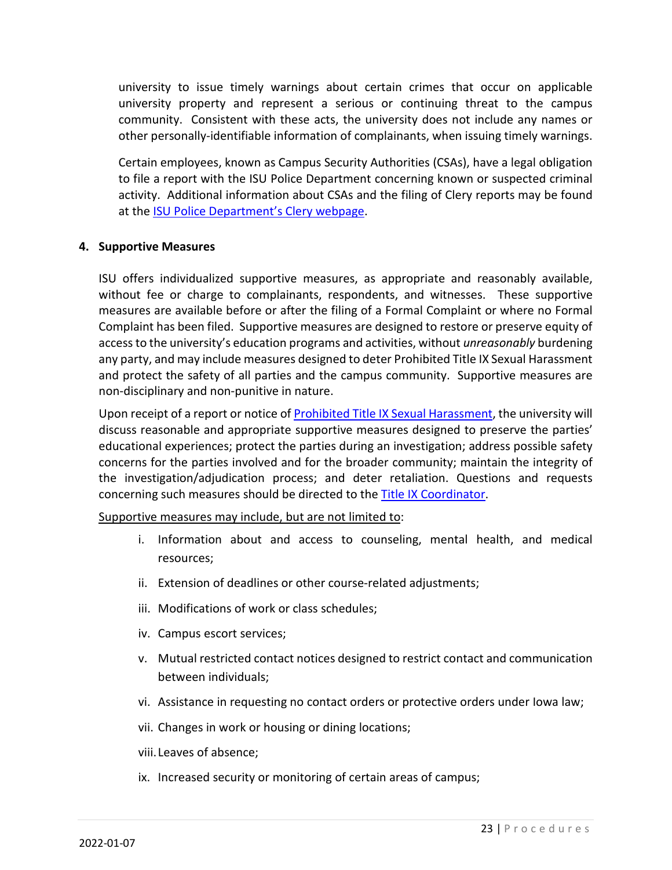university to issue timely warnings about certain crimes that occur on applicable university property and represent a serious or continuing threat to the campus community. Consistent with these acts, the university does not include any names or other personally-identifiable information of complainants, when issuing timely warnings.

Certain employees, known as Campus Security Authorities (CSAs), have a legal obligation to file a report with the ISU Police Department concerning known or suspected criminal activity. Additional information about CSAs and the filing of Clery reports may be found at the ISU Police Department's Clery webpage.

#### **4. Supportive Measures**

ISU offers individualized supportive measures, as appropriate and reasonably available, without fee or charge to complainants, respondents, and witnesses. These supportive measures are available before or after the filing of a Formal Complaint or where no Formal Complaint has been filed. Supportive measures are designed to restore or preserve equity of access to the university's education programs and activities, without *unreasonably* burdening any party, and may include measures designed to deter Prohibited Title IX Sexual Harassment and protect the safety of all parties and the campus community. Supportive measures are non-disciplinary and non-punitive in nature.

Upon receipt of a report or notice of Prohibited Title IX Sexual Harassment, the university will discuss reasonable and appropriate supportive measures designed to preserve the parties' educational experiences; protect the parties during an investigation; address possible safety concerns for the parties involved and for the broader community; maintain the integrity of the investigation/adjudication process; and deter retaliation. Questions and requests concerning such measures should be directed to the **Title IX Coordinator**.

Supportive measures may include, but are not limited to:

- i. Information about and access to counseling, mental health, and medical resources;
- ii. Extension of deadlines or other course-related adjustments;
- iii. Modifications of work or class schedules;
- iv. Campus escort services;
- v. Mutual restricted contact notices designed to restrict contact and communication between individuals;
- vi. Assistance in requesting no contact orders or protective orders under Iowa law;
- vii. Changes in work or housing or dining locations;
- viii. Leaves of absence;
- ix. Increased security or monitoring of certain areas of campus;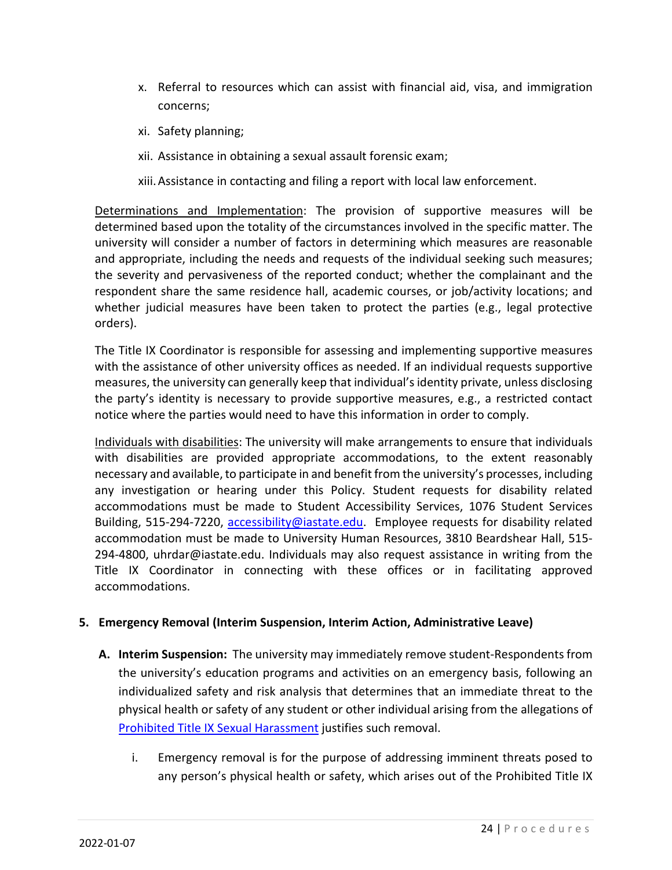- x. Referral to resources which can assist with financial aid, visa, and immigration concerns;
- xi. Safety planning;
- xii. Assistance in obtaining a sexual assault forensic exam;

xiii.Assistance in contacting and filing a report with local law enforcement.

Determinations and Implementation: The provision of supportive measures will be determined based upon the totality of the circumstances involved in the specific matter. The university will consider a number of factors in determining which measures are reasonable and appropriate, including the needs and requests of the individual seeking such measures; the severity and pervasiveness of the reported conduct; whether the complainant and the respondent share the same residence hall, academic courses, or job/activity locations; and whether judicial measures have been taken to protect the parties (e.g., legal protective orders).

The Title IX Coordinator is responsible for assessing and implementing supportive measures with the assistance of other university offices as needed. If an individual requests supportive measures, the university can generally keep that individual's identity private, unless disclosing the party's identity is necessary to provide supportive measures, e.g., a restricted contact notice where the parties would need to have this information in order to comply.

Individuals with disabilities: The university will make arrangements to ensure that individuals with disabilities are provided appropriate accommodations, to the extent reasonably necessary and available, to participate in and benefit from the university's processes, including any investigation or hearing under this Policy. Student requests for disability related accommodations must be made to Student Accessibility Services, 1076 Student Services Building, 515-294-7220, accessibility@iastate.edu. Employee requests for disability related accommodation must be made to University Human Resources, 3810 Beardshear Hall, 515- 294-4800, uhrdar@iastate.edu. Individuals may also request assistance in writing from the Title IX Coordinator in connecting with these offices or in facilitating approved accommodations.

#### **5. Emergency Removal (Interim Suspension, Interim Action, Administrative Leave)**

- **A. Interim Suspension:** The university may immediately remove student-Respondents from the university's education programs and activities on an emergency basis, following an individualized safety and risk analysis that determines that an immediate threat to the physical health or safety of any student or other individual arising from the allegations of Prohibited Title IX Sexual Harassment justifies such removal.
	- i. Emergency removal is for the purpose of addressing imminent threats posed to any person's physical health or safety, which arises out of the Prohibited Title IX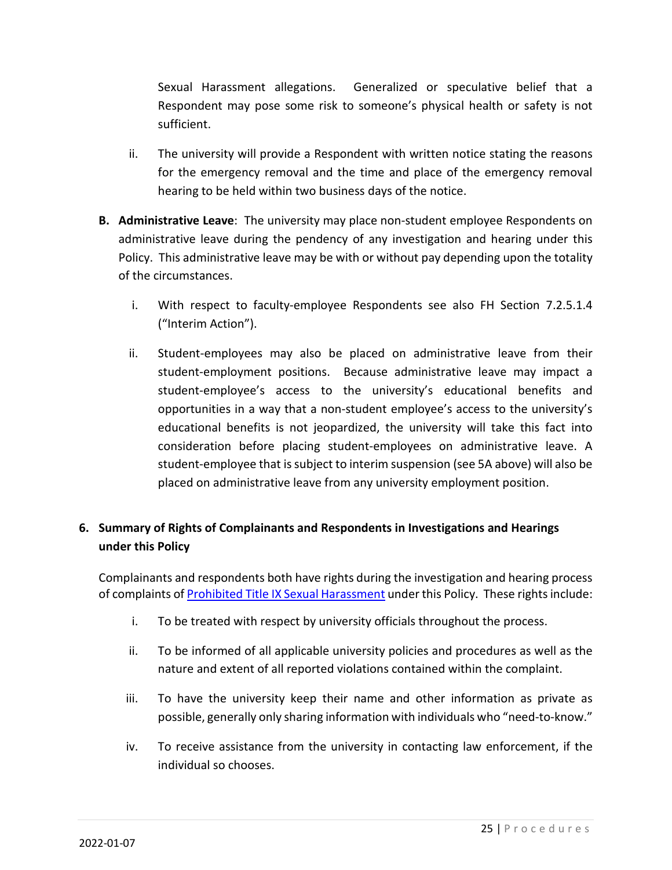Sexual Harassment allegations. Generalized or speculative belief that a Respondent may pose some risk to someone's physical health or safety is not sufficient.

- ii. The university will provide a Respondent with written notice stating the reasons for the emergency removal and the time and place of the emergency removal hearing to be held within two business days of the notice.
- **B. Administrative Leave**: The university may place non-student employee Respondents on administrative leave during the pendency of any investigation and hearing under this Policy. This administrative leave may be with or without pay depending upon the totality of the circumstances.
	- i. With respect to faculty-employee Respondents see also FH Section 7.2.5.1.4 ("Interim Action").
	- ii. Student-employees may also be placed on administrative leave from their student-employment positions. Because administrative leave may impact a student-employee's access to the university's educational benefits and opportunities in a way that a non-student employee's access to the university's educational benefits is not jeopardized, the university will take this fact into consideration before placing student-employees on administrative leave. A student-employee that is subject to interim suspension (see 5A above) will also be placed on administrative leave from any university employment position.

## **6. Summary of Rights of Complainants and Respondents in Investigations and Hearings under this Policy**

Complainants and respondents both have rights during the investigation and hearing process of complaints of Prohibited Title IX Sexual Harassment under this Policy. These rights include:

- i. To be treated with respect by university officials throughout the process.
- ii. To be informed of all applicable university policies and procedures as well as the nature and extent of all reported violations contained within the complaint.
- iii. To have the university keep their name and other information as private as possible, generally only sharing information with individuals who "need-to-know."
- iv. To receive assistance from the university in contacting law enforcement, if the individual so chooses.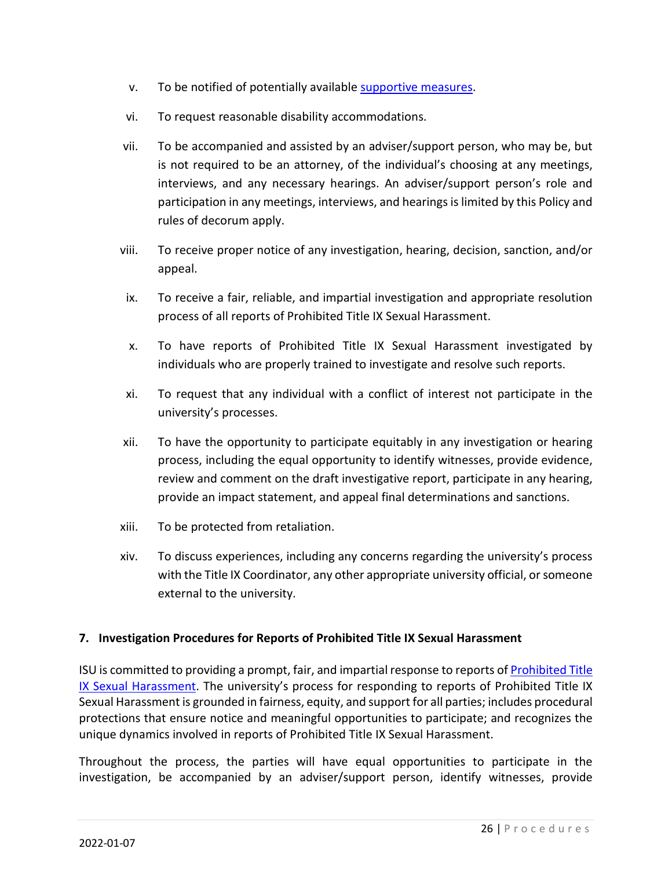- v. To be notified of potentially available supportive measures.
- vi. To request reasonable disability accommodations.
- vii. To be accompanied and assisted by an adviser/support person, who may be, but is not required to be an attorney, of the individual's choosing at any meetings, interviews, and any necessary hearings. An adviser/support person's role and participation in any meetings, interviews, and hearings is limited by this Policy and rules of decorum apply.
- viii. To receive proper notice of any investigation, hearing, decision, sanction, and/or appeal.
- ix. To receive a fair, reliable, and impartial investigation and appropriate resolution process of all reports of Prohibited Title IX Sexual Harassment.
- x. To have reports of Prohibited Title IX Sexual Harassment investigated by individuals who are properly trained to investigate and resolve such reports.
- xi. To request that any individual with a conflict of interest not participate in the university's processes.
- xii. To have the opportunity to participate equitably in any investigation or hearing process, including the equal opportunity to identify witnesses, provide evidence, review and comment on the draft investigative report, participate in any hearing, provide an impact statement, and appeal final determinations and sanctions.
- xiii. To be protected from retaliation.
- xiv. To discuss experiences, including any concerns regarding the university's process with the Title IX Coordinator, any other appropriate university official, or someone external to the university.

#### **7. Investigation Procedures for Reports of Prohibited Title IX Sexual Harassment**

ISU is committed to providing a prompt, fair, and impartial response to reports of Prohibited Title IX Sexual Harassment. The university's process for responding to reports of Prohibited Title IX Sexual Harassment is grounded in fairness, equity, and support for all parties; includes procedural protections that ensure notice and meaningful opportunities to participate; and recognizes the unique dynamics involved in reports of Prohibited Title IX Sexual Harassment.

Throughout the process, the parties will have equal opportunities to participate in the investigation, be accompanied by an adviser/support person, identify witnesses, provide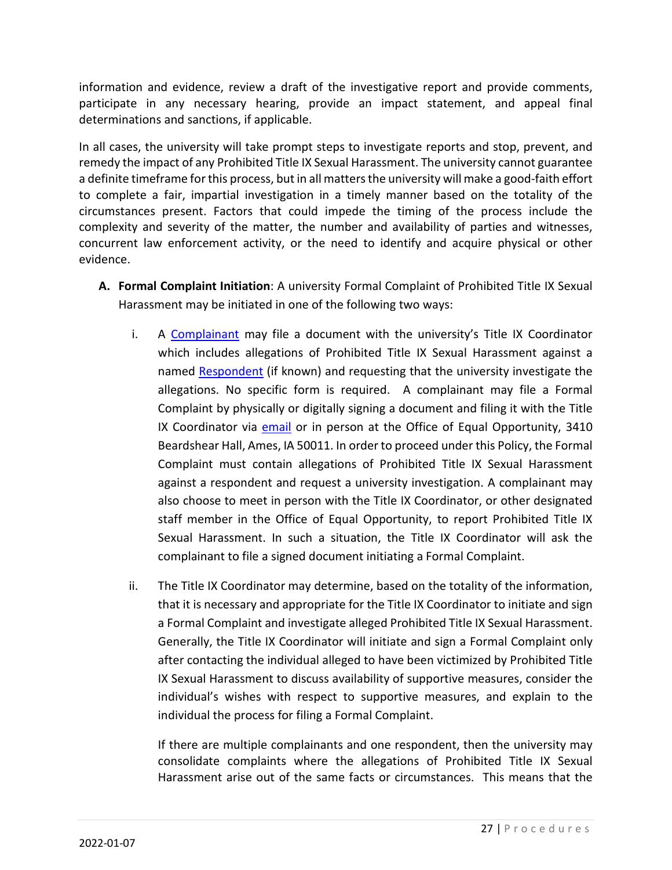information and evidence, review a draft of the investigative report and provide comments, participate in any necessary hearing, provide an impact statement, and appeal final determinations and sanctions, if applicable.

In all cases, the university will take prompt steps to investigate reports and stop, prevent, and remedy the impact of any Prohibited Title IX Sexual Harassment. The university cannot guarantee a definite timeframe for this process, but in all matters the university will make a good-faith effort to complete a fair, impartial investigation in a timely manner based on the totality of the circumstances present. Factors that could impede the timing of the process include the complexity and severity of the matter, the number and availability of parties and witnesses, concurrent law enforcement activity, or the need to identify and acquire physical or other evidence.

- **A. Formal Complaint Initiation**: A university Formal Complaint of Prohibited Title IX Sexual Harassment may be initiated in one of the following two ways:
	- i. A Complainant may file a document with the university's Title IX Coordinator which includes allegations of Prohibited Title IX Sexual Harassment against a named Respondent (if known) and requesting that the university investigate the allegations. No specific form is required. A complainant may file a Formal Complaint by physically or digitally signing a document and filing it with the Title IX Coordinator via email or in person at the Office of Equal Opportunity, 3410 Beardshear Hall, Ames, IA 50011. In order to proceed under this Policy, the Formal Complaint must contain allegations of Prohibited Title IX Sexual Harassment against a respondent and request a university investigation. A complainant may also choose to meet in person with the Title IX Coordinator, or other designated staff member in the Office of Equal Opportunity, to report Prohibited Title IX Sexual Harassment. In such a situation, the Title IX Coordinator will ask the complainant to file a signed document initiating a Formal Complaint.
	- ii. The Title IX Coordinator may determine, based on the totality of the information, that it is necessary and appropriate for the Title IX Coordinator to initiate and sign a Formal Complaint and investigate alleged Prohibited Title IX Sexual Harassment. Generally, the Title IX Coordinator will initiate and sign a Formal Complaint only after contacting the individual alleged to have been victimized by Prohibited Title IX Sexual Harassment to discuss availability of supportive measures, consider the individual's wishes with respect to supportive measures, and explain to the individual the process for filing a Formal Complaint.

If there are multiple complainants and one respondent, then the university may consolidate complaints where the allegations of Prohibited Title IX Sexual Harassment arise out of the same facts or circumstances. This means that the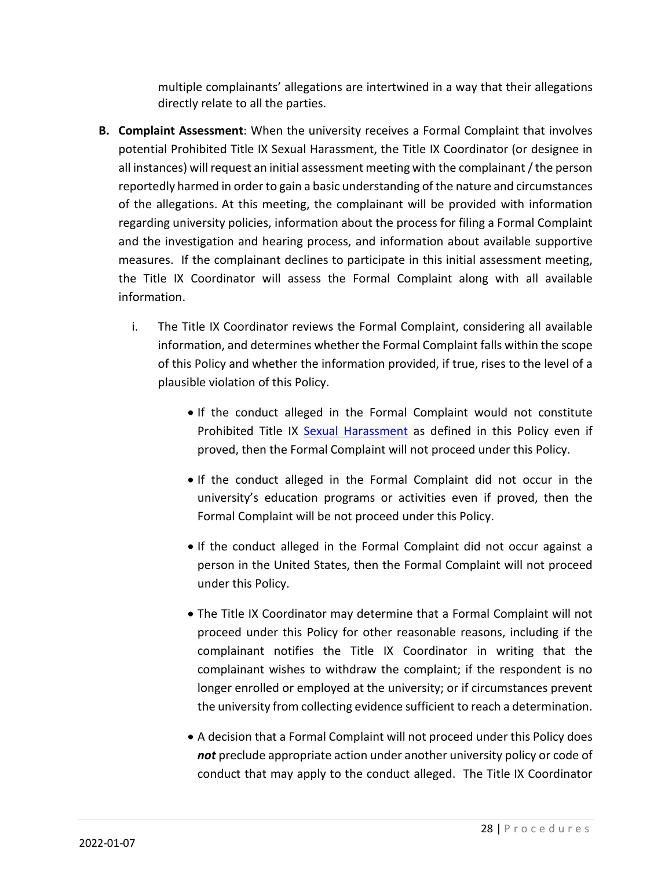multiple complainants' allegations are intertwined in a way that their allegations directly relate to all the parties.

- **B. Complaint Assessment**: When the university receives a Formal Complaint that involves potential Prohibited Title IX Sexual Harassment, the Title IX Coordinator (or designee in all instances) will request an initial assessment meeting with the complainant / the person reportedly harmed in order to gain a basic understanding of the nature and circumstances of the allegations. At this meeting, the complainant will be provided with information regarding university policies, information about the process for filing a Formal Complaint and the investigation and hearing process, and information about available supportive measures. If the complainant declines to participate in this initial assessment meeting, the Title IX Coordinator will assess the Formal Complaint along with all available information.
	- i. The Title IX Coordinator reviews the Formal Complaint, considering all available information, and determines whether the Formal Complaint falls within the scope of this Policy and whether the information provided, if true, rises to the level of a plausible violation of this Policy.
		- If the conduct alleged in the Formal Complaint would not constitute Prohibited Title IX Sexual Harassment as defined in this Policy even if proved, then the Formal Complaint will not proceed under this Policy.
		- If the conduct alleged in the Formal Complaint did not occur in the university's education programs or activities even if proved, then the Formal Complaint will be not proceed under this Policy.
		- If the conduct alleged in the Formal Complaint did not occur against a person in the United States, then the Formal Complaint will not proceed under this Policy.
		- The Title IX Coordinator may determine that a Formal Complaint will not proceed under this Policy for other reasonable reasons, including if the complainant notifies the Title IX Coordinator in writing that the complainant wishes to withdraw the complaint; if the respondent is no longer enrolled or employed at the university; or if circumstances prevent the university from collecting evidence sufficient to reach a determination.
		- A decision that a Formal Complaint will not proceed under this Policy does *not* preclude appropriate action under another university policy or code of conduct that may apply to the conduct alleged. The Title IX Coordinator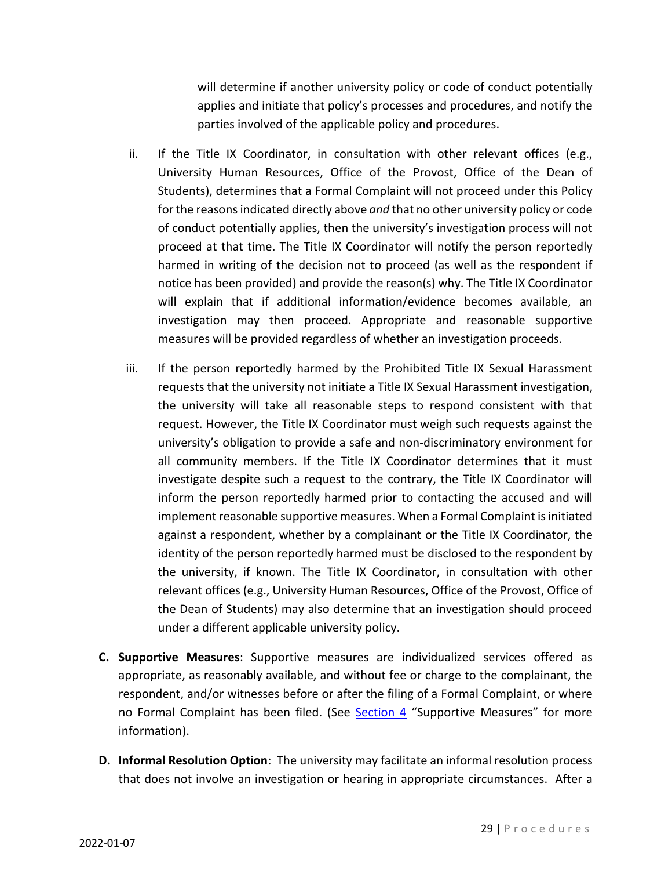will determine if another university policy or code of conduct potentially applies and initiate that policy's processes and procedures, and notify the parties involved of the applicable policy and procedures.

- ii. If the Title IX Coordinator, in consultation with other relevant offices (e.g., University Human Resources, Office of the Provost, Office of the Dean of Students), determines that a Formal Complaint will not proceed under this Policy for the reasons indicated directly above *and* that no other university policy or code of conduct potentially applies, then the university's investigation process will not proceed at that time. The Title IX Coordinator will notify the person reportedly harmed in writing of the decision not to proceed (as well as the respondent if notice has been provided) and provide the reason(s) why. The Title IX Coordinator will explain that if additional information/evidence becomes available, an investigation may then proceed. Appropriate and reasonable supportive measures will be provided regardless of whether an investigation proceeds.
- iii. If the person reportedly harmed by the Prohibited Title IX Sexual Harassment requests that the university not initiate a Title IX Sexual Harassment investigation, the university will take all reasonable steps to respond consistent with that request. However, the Title IX Coordinator must weigh such requests against the university's obligation to provide a safe and non-discriminatory environment for all community members. If the Title IX Coordinator determines that it must investigate despite such a request to the contrary, the Title IX Coordinator will inform the person reportedly harmed prior to contacting the accused and will implement reasonable supportive measures. When a Formal Complaint is initiated against a respondent, whether by a complainant or the Title IX Coordinator, the identity of the person reportedly harmed must be disclosed to the respondent by the university, if known. The Title IX Coordinator, in consultation with other relevant offices (e.g., University Human Resources, Office of the Provost, Office of the Dean of Students) may also determine that an investigation should proceed under a different applicable university policy.
- **C. Supportive Measures**: Supportive measures are individualized services offered as appropriate, as reasonably available, and without fee or charge to the complainant, the respondent, and/or witnesses before or after the filing of a Formal Complaint, or where no Formal Complaint has been filed. (See Section 4 "Supportive Measures" for more information).
- **D. Informal Resolution Option**: The university may facilitate an informal resolution process that does not involve an investigation or hearing in appropriate circumstances. After a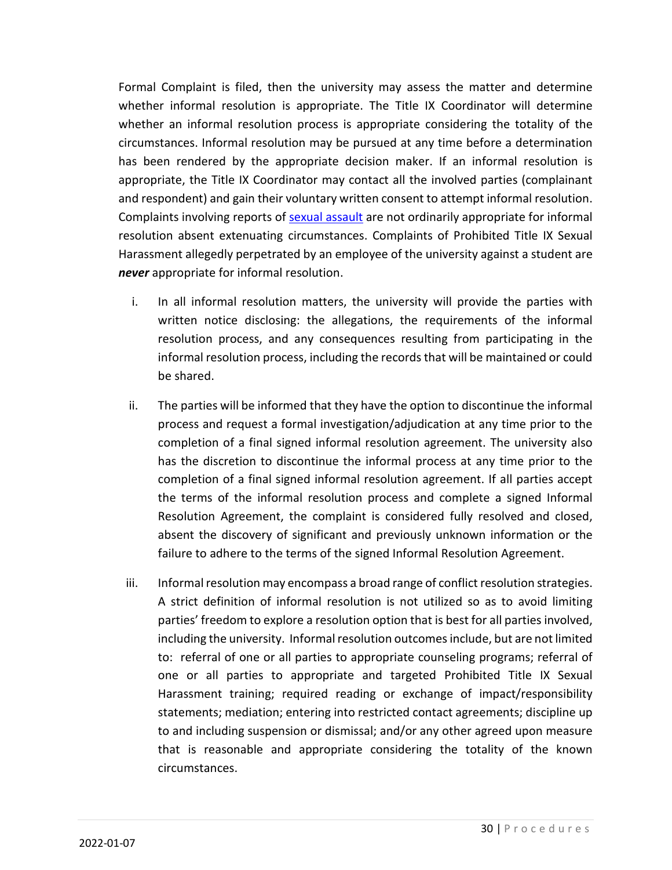Formal Complaint is filed, then the university may assess the matter and determine whether informal resolution is appropriate. The Title IX Coordinator will determine whether an informal resolution process is appropriate considering the totality of the circumstances. Informal resolution may be pursued at any time before a determination has been rendered by the appropriate decision maker. If an informal resolution is appropriate, the Title IX Coordinator may contact all the involved parties (complainant and respondent) and gain their voluntary written consent to attempt informal resolution. Complaints involving reports of **sexual assault** are not ordinarily appropriate for informal resolution absent extenuating circumstances. Complaints of Prohibited Title IX Sexual Harassment allegedly perpetrated by an employee of the university against a student are *never* appropriate for informal resolution.

- i. In all informal resolution matters, the university will provide the parties with written notice disclosing: the allegations, the requirements of the informal resolution process, and any consequences resulting from participating in the informal resolution process, including the records that will be maintained or could be shared.
- ii. The parties will be informed that they have the option to discontinue the informal process and request a formal investigation/adjudication at any time prior to the completion of a final signed informal resolution agreement. The university also has the discretion to discontinue the informal process at any time prior to the completion of a final signed informal resolution agreement. If all parties accept the terms of the informal resolution process and complete a signed Informal Resolution Agreement, the complaint is considered fully resolved and closed, absent the discovery of significant and previously unknown information or the failure to adhere to the terms of the signed Informal Resolution Agreement.
- iii. Informal resolution may encompass a broad range of conflict resolution strategies. A strict definition of informal resolution is not utilized so as to avoid limiting parties' freedom to explore a resolution option that is best for all parties involved, including the university. Informal resolution outcomes include, but are not limited to: referral of one or all parties to appropriate counseling programs; referral of one or all parties to appropriate and targeted Prohibited Title IX Sexual Harassment training; required reading or exchange of impact/responsibility statements; mediation; entering into restricted contact agreements; discipline up to and including suspension or dismissal; and/or any other agreed upon measure that is reasonable and appropriate considering the totality of the known circumstances.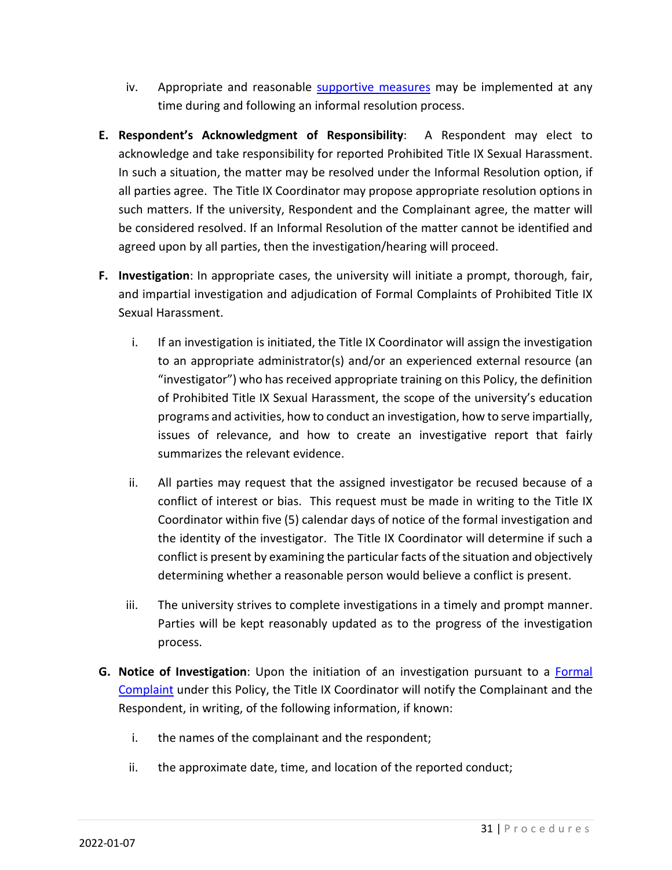- iv. Appropriate and reasonable supportive measures may be implemented at any time during and following an informal resolution process.
- **E. Respondent's Acknowledgment of Responsibility**: A Respondent may elect to acknowledge and take responsibility for reported Prohibited Title IX Sexual Harassment. In such a situation, the matter may be resolved under the Informal Resolution option, if all parties agree. The Title IX Coordinator may propose appropriate resolution options in such matters. If the university, Respondent and the Complainant agree, the matter will be considered resolved. If an Informal Resolution of the matter cannot be identified and agreed upon by all parties, then the investigation/hearing will proceed.
- **F. Investigation**: In appropriate cases, the university will initiate a prompt, thorough, fair, and impartial investigation and adjudication of Formal Complaints of Prohibited Title IX Sexual Harassment.
	- i. If an investigation is initiated, the Title IX Coordinator will assign the investigation to an appropriate administrator(s) and/or an experienced external resource (an "investigator") who has received appropriate training on this Policy, the definition of Prohibited Title IX Sexual Harassment, the scope of the university's education programs and activities, how to conduct an investigation, how to serve impartially, issues of relevance, and how to create an investigative report that fairly summarizes the relevant evidence.
	- ii. All parties may request that the assigned investigator be recused because of a conflict of interest or bias. This request must be made in writing to the Title IX Coordinator within five (5) calendar days of notice of the formal investigation and the identity of the investigator. The Title IX Coordinator will determine if such a conflict is present by examining the particular facts of the situation and objectively determining whether a reasonable person would believe a conflict is present.
	- iii. The university strives to complete investigations in a timely and prompt manner. Parties will be kept reasonably updated as to the progress of the investigation process.
- **G. Notice of Investigation**: Upon the initiation of an investigation pursuant to a Formal Complaint under this Policy, the Title IX Coordinator will notify the Complainant and the Respondent, in writing, of the following information, if known:
	- i. the names of the complainant and the respondent;
	- ii. the approximate date, time, and location of the reported conduct;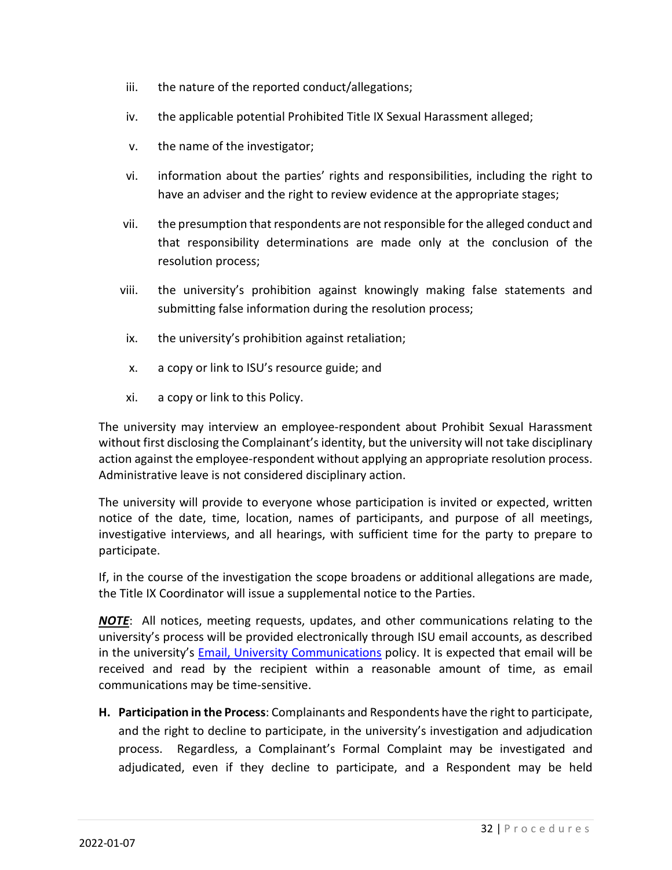- iii. the nature of the reported conduct/allegations;
- iv. the applicable potential Prohibited Title IX Sexual Harassment alleged;
- v. the name of the investigator;
- vi. information about the parties' rights and responsibilities, including the right to have an adviser and the right to review evidence at the appropriate stages;
- vii. the presumption that respondents are not responsible for the alleged conduct and that responsibility determinations are made only at the conclusion of the resolution process;
- viii. the university's prohibition against knowingly making false statements and submitting false information during the resolution process;
- ix. the university's prohibition against retaliation;
- x. a copy or link to ISU's resource guide; and
- xi. a copy or link to this Policy.

The university may interview an employee-respondent about Prohibit Sexual Harassment without first disclosing the Complainant's identity, but the university will not take disciplinary action against the employee-respondent without applying an appropriate resolution process. Administrative leave is not considered disciplinary action.

The university will provide to everyone whose participation is invited or expected, written notice of the date, time, location, names of participants, and purpose of all meetings, investigative interviews, and all hearings, with sufficient time for the party to prepare to participate.

If, in the course of the investigation the scope broadens or additional allegations are made, the Title IX Coordinator will issue a supplemental notice to the Parties.

*NOTE*: All notices, meeting requests, updates, and other communications relating to the university's process will be provided electronically through ISU email accounts, as described in the university's Email, University Communications policy. It is expected that email will be received and read by the recipient within a reasonable amount of time, as email communications may be time-sensitive.

**H. Participation in the Process**: Complainants and Respondents have the right to participate, and the right to decline to participate, in the university's investigation and adjudication process. Regardless, a Complainant's Formal Complaint may be investigated and adjudicated, even if they decline to participate, and a Respondent may be held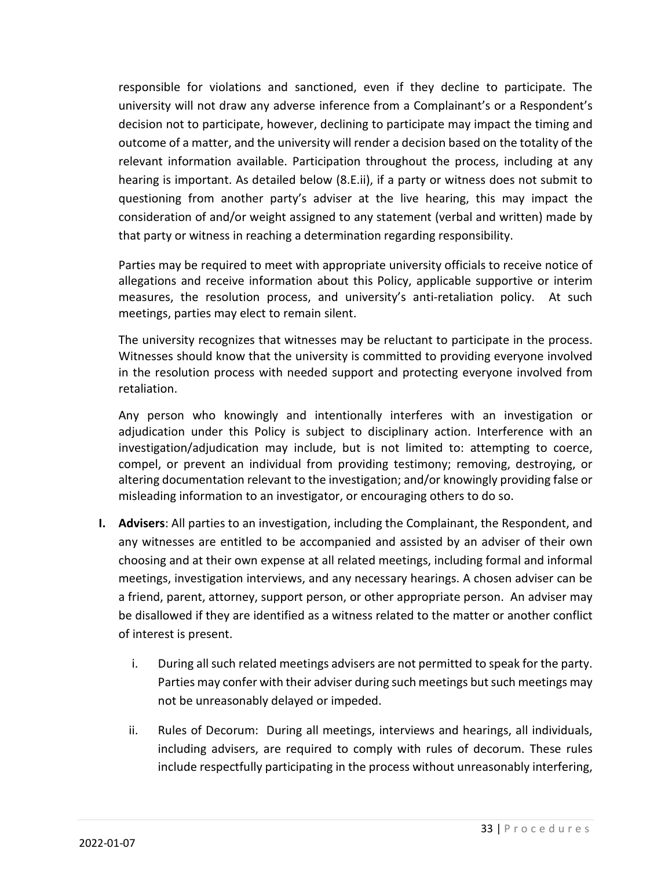responsible for violations and sanctioned, even if they decline to participate. The university will not draw any adverse inference from a Complainant's or a Respondent's decision not to participate, however, declining to participate may impact the timing and outcome of a matter, and the university will render a decision based on the totality of the relevant information available. Participation throughout the process, including at any hearing is important. As detailed below (8.E.ii), if a party or witness does not submit to questioning from another party's adviser at the live hearing, this may impact the consideration of and/or weight assigned to any statement (verbal and written) made by that party or witness in reaching a determination regarding responsibility.

Parties may be required to meet with appropriate university officials to receive notice of allegations and receive information about this Policy, applicable supportive or interim measures, the resolution process, and university's anti-retaliation policy. At such meetings, parties may elect to remain silent.

The university recognizes that witnesses may be reluctant to participate in the process. Witnesses should know that the university is committed to providing everyone involved in the resolution process with needed support and protecting everyone involved from retaliation.

Any person who knowingly and intentionally interferes with an investigation or adjudication under this Policy is subject to disciplinary action. Interference with an investigation/adjudication may include, but is not limited to: attempting to coerce, compel, or prevent an individual from providing testimony; removing, destroying, or altering documentation relevant to the investigation; and/or knowingly providing false or misleading information to an investigator, or encouraging others to do so.

- **I. Advisers**: All parties to an investigation, including the Complainant, the Respondent, and any witnesses are entitled to be accompanied and assisted by an adviser of their own choosing and at their own expense at all related meetings, including formal and informal meetings, investigation interviews, and any necessary hearings. A chosen adviser can be a friend, parent, attorney, support person, or other appropriate person. An adviser may be disallowed if they are identified as a witness related to the matter or another conflict of interest is present.
	- i. During all such related meetings advisers are not permitted to speak for the party. Parties may confer with their adviser during such meetings but such meetings may not be unreasonably delayed or impeded.
	- ii. Rules of Decorum: During all meetings, interviews and hearings, all individuals, including advisers, are required to comply with rules of decorum. These rules include respectfully participating in the process without unreasonably interfering,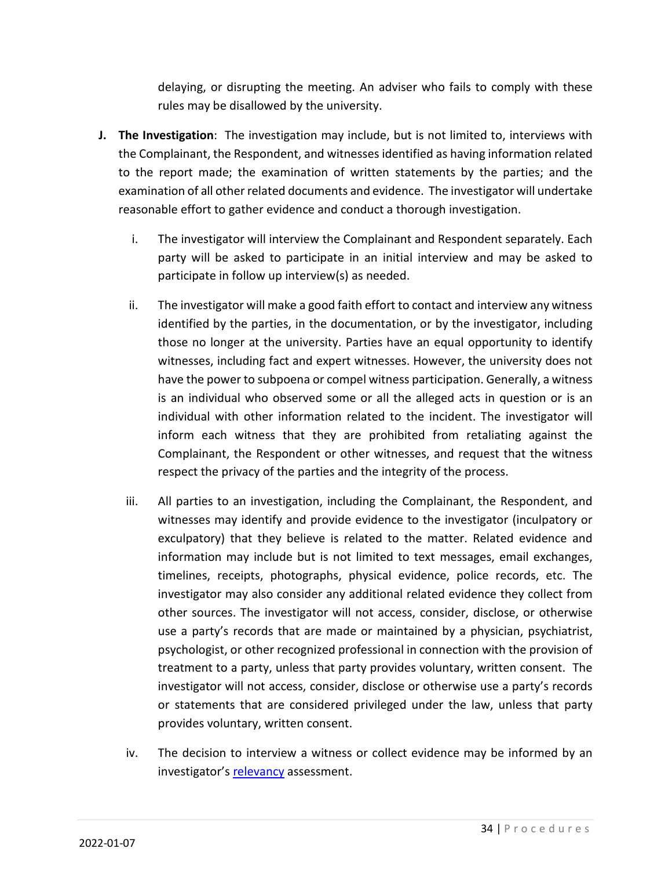delaying, or disrupting the meeting. An adviser who fails to comply with these rules may be disallowed by the university.

- **J. The Investigation**: The investigation may include, but is not limited to, interviews with the Complainant, the Respondent, and witnesses identified as having information related to the report made; the examination of written statements by the parties; and the examination of all other related documents and evidence. The investigator will undertake reasonable effort to gather evidence and conduct a thorough investigation.
	- i. The investigator will interview the Complainant and Respondent separately. Each party will be asked to participate in an initial interview and may be asked to participate in follow up interview(s) as needed.
	- ii. The investigator will make a good faith effort to contact and interview any witness identified by the parties, in the documentation, or by the investigator, including those no longer at the university. Parties have an equal opportunity to identify witnesses, including fact and expert witnesses. However, the university does not have the power to subpoena or compel witness participation. Generally, a witness is an individual who observed some or all the alleged acts in question or is an individual with other information related to the incident. The investigator will inform each witness that they are prohibited from retaliating against the Complainant, the Respondent or other witnesses, and request that the witness respect the privacy of the parties and the integrity of the process.
	- iii. All parties to an investigation, including the Complainant, the Respondent, and witnesses may identify and provide evidence to the investigator (inculpatory or exculpatory) that they believe is related to the matter. Related evidence and information may include but is not limited to text messages, email exchanges, timelines, receipts, photographs, physical evidence, police records, etc. The investigator may also consider any additional related evidence they collect from other sources. The investigator will not access, consider, disclose, or otherwise use a party's records that are made or maintained by a physician, psychiatrist, psychologist, or other recognized professional in connection with the provision of treatment to a party, unless that party provides voluntary, written consent. The investigator will not access, consider, disclose or otherwise use a party's records or statements that are considered privileged under the law, unless that party provides voluntary, written consent.
	- iv. The decision to interview a witness or collect evidence may be informed by an investigator's relevancy assessment.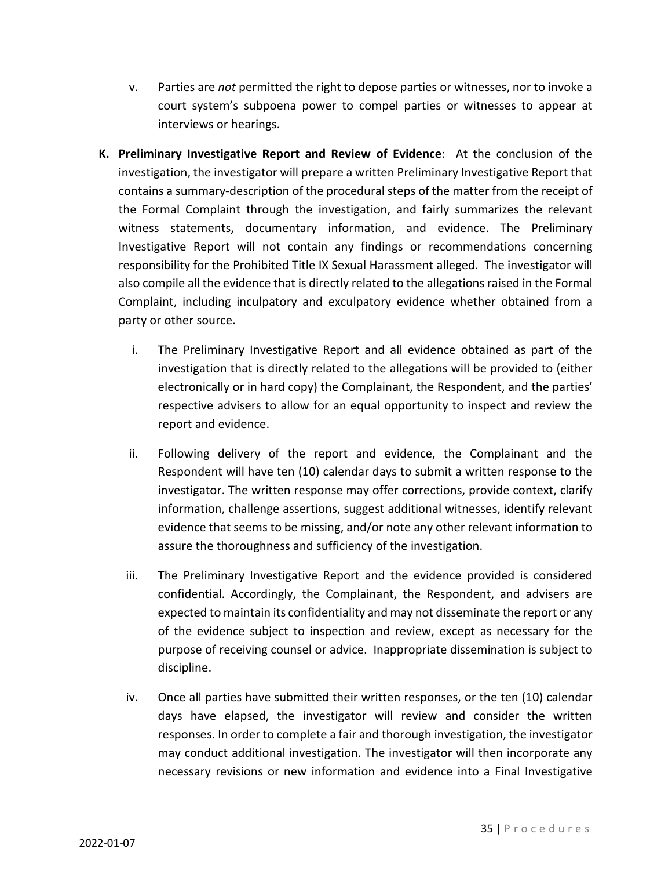- v. Parties are *not* permitted the right to depose parties or witnesses, nor to invoke a court system's subpoena power to compel parties or witnesses to appear at interviews or hearings.
- **K. Preliminary Investigative Report and Review of Evidence**: At the conclusion of the investigation, the investigator will prepare a written Preliminary Investigative Report that contains a summary-description of the procedural steps of the matter from the receipt of the Formal Complaint through the investigation, and fairly summarizes the relevant witness statements, documentary information, and evidence. The Preliminary Investigative Report will not contain any findings or recommendations concerning responsibility for the Prohibited Title IX Sexual Harassment alleged. The investigator will also compile all the evidence that is directly related to the allegations raised in the Formal Complaint, including inculpatory and exculpatory evidence whether obtained from a party or other source.
	- i. The Preliminary Investigative Report and all evidence obtained as part of the investigation that is directly related to the allegations will be provided to (either electronically or in hard copy) the Complainant, the Respondent, and the parties' respective advisers to allow for an equal opportunity to inspect and review the report and evidence.
	- ii. Following delivery of the report and evidence, the Complainant and the Respondent will have ten (10) calendar days to submit a written response to the investigator. The written response may offer corrections, provide context, clarify information, challenge assertions, suggest additional witnesses, identify relevant evidence that seems to be missing, and/or note any other relevant information to assure the thoroughness and sufficiency of the investigation.
	- iii. The Preliminary Investigative Report and the evidence provided is considered confidential. Accordingly, the Complainant, the Respondent, and advisers are expected to maintain its confidentiality and may not disseminate the report or any of the evidence subject to inspection and review, except as necessary for the purpose of receiving counsel or advice. Inappropriate dissemination is subject to discipline.
	- iv. Once all parties have submitted their written responses, or the ten (10) calendar days have elapsed, the investigator will review and consider the written responses. In order to complete a fair and thorough investigation, the investigator may conduct additional investigation. The investigator will then incorporate any necessary revisions or new information and evidence into a Final Investigative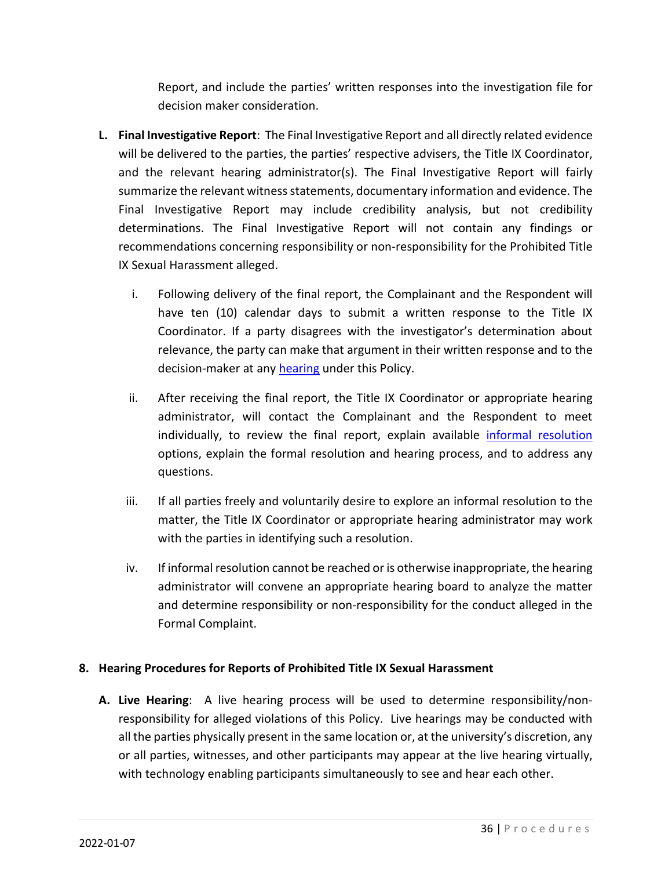Report, and include the parties' written responses into the investigation file for decision maker consideration.

- **L. Final Investigative Report**: The Final Investigative Report and all directly related evidence will be delivered to the parties, the parties' respective advisers, the Title IX Coordinator, and the relevant hearing administrator(s). The Final Investigative Report will fairly summarize the relevant witness statements, documentary information and evidence. The Final Investigative Report may include credibility analysis, but not credibility determinations. The Final Investigative Report will not contain any findings or recommendations concerning responsibility or non-responsibility for the Prohibited Title IX Sexual Harassment alleged.
	- i. Following delivery of the final report, the Complainant and the Respondent will have ten (10) calendar days to submit a written response to the Title IX Coordinator. If a party disagrees with the investigator's determination about relevance, the party can make that argument in their written response and to the decision-maker at any hearing under this Policy.
	- ii. After receiving the final report, the Title IX Coordinator or appropriate hearing administrator, will contact the Complainant and the Respondent to meet individually, to review the final report, explain available informal resolution options, explain the formal resolution and hearing process, and to address any questions.
	- iii. If all parties freely and voluntarily desire to explore an informal resolution to the matter, the Title IX Coordinator or appropriate hearing administrator may work with the parties in identifying such a resolution.
	- iv. If informal resolution cannot be reached or is otherwise inappropriate, the hearing administrator will convene an appropriate hearing board to analyze the matter and determine responsibility or non-responsibility for the conduct alleged in the Formal Complaint.

#### **8. Hearing Procedures for Reports of Prohibited Title IX Sexual Harassment**

**A. Live Hearing**: A live hearing process will be used to determine responsibility/nonresponsibility for alleged violations of this Policy. Live hearings may be conducted with all the parties physically present in the same location or, at the university's discretion, any or all parties, witnesses, and other participants may appear at the live hearing virtually, with technology enabling participants simultaneously to see and hear each other.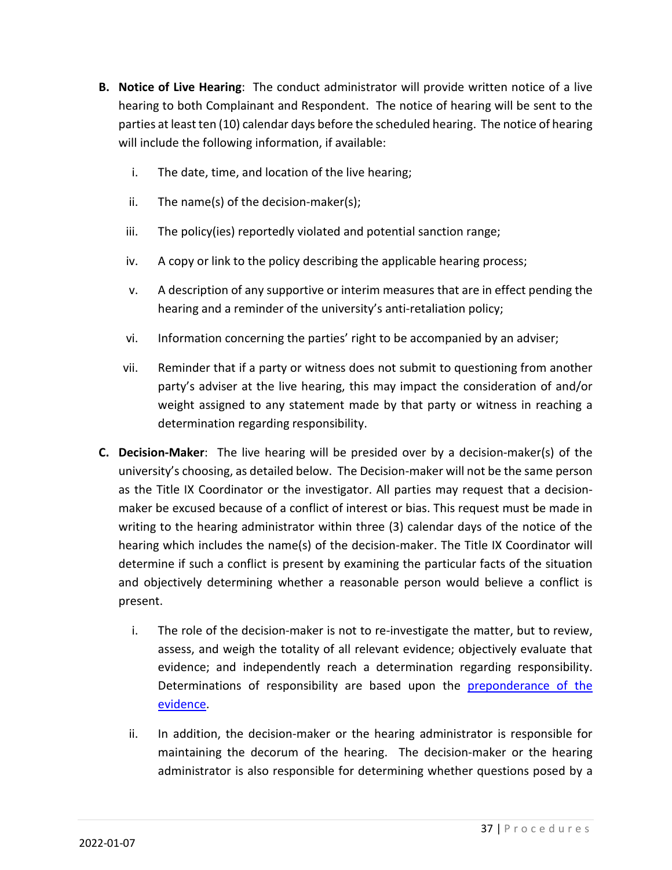- **B. Notice of Live Hearing**: The conduct administrator will provide written notice of a live hearing to both Complainant and Respondent. The notice of hearing will be sent to the parties at least ten (10) calendar days before the scheduled hearing. The notice of hearing will include the following information, if available:
	- i. The date, time, and location of the live hearing;
	- ii. The name(s) of the decision-maker(s);
	- iii. The policy(ies) reportedly violated and potential sanction range;
	- iv. A copy or link to the policy describing the applicable hearing process;
	- v. A description of any supportive or interim measures that are in effect pending the hearing and a reminder of the university's anti-retaliation policy;
	- vi. Information concerning the parties' right to be accompanied by an adviser;
	- vii. Reminder that if a party or witness does not submit to questioning from another party's adviser at the live hearing, this may impact the consideration of and/or weight assigned to any statement made by that party or witness in reaching a determination regarding responsibility.
- **C. Decision-Maker**: The live hearing will be presided over by a decision-maker(s) of the university's choosing, as detailed below. The Decision-maker will not be the same person as the Title IX Coordinator or the investigator. All parties may request that a decisionmaker be excused because of a conflict of interest or bias. This request must be made in writing to the hearing administrator within three (3) calendar days of the notice of the hearing which includes the name(s) of the decision-maker. The Title IX Coordinator will determine if such a conflict is present by examining the particular facts of the situation and objectively determining whether a reasonable person would believe a conflict is present.
	- i. The role of the decision-maker is not to re-investigate the matter, but to review, assess, and weigh the totality of all relevant evidence; objectively evaluate that evidence; and independently reach a determination regarding responsibility. Determinations of responsibility are based upon the **preponderance of the** evidence.
	- ii. In addition, the decision-maker or the hearing administrator is responsible for maintaining the decorum of the hearing. The decision-maker or the hearing administrator is also responsible for determining whether questions posed by a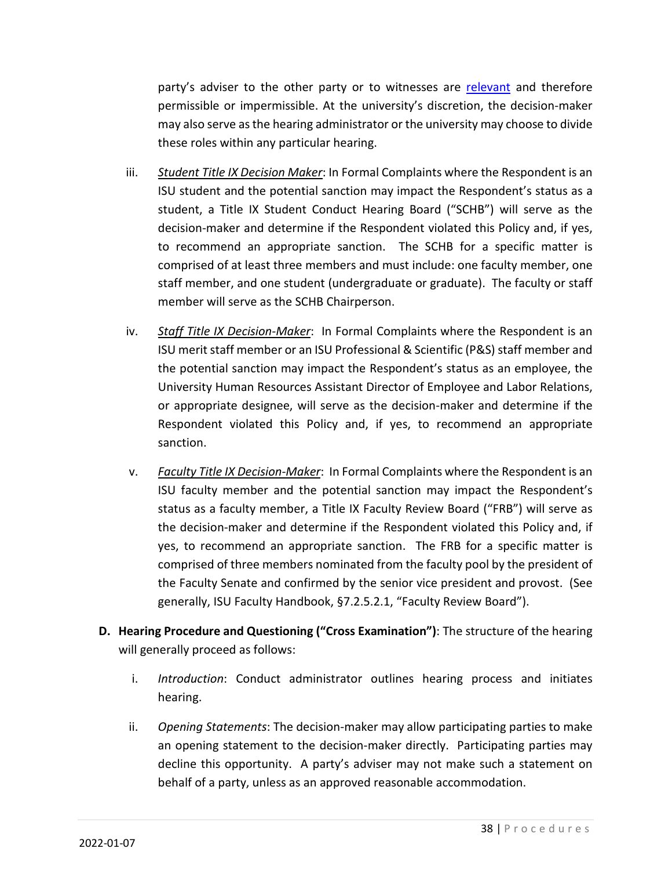party's adviser to the other party or to witnesses are relevant and therefore permissible or impermissible. At the university's discretion, the decision-maker may also serve as the hearing administrator or the university may choose to divide these roles within any particular hearing.

- iii. *Student Title IX Decision Maker*: In Formal Complaints where the Respondent is an ISU student and the potential sanction may impact the Respondent's status as a student, a Title IX Student Conduct Hearing Board ("SCHB") will serve as the decision-maker and determine if the Respondent violated this Policy and, if yes, to recommend an appropriate sanction. The SCHB for a specific matter is comprised of at least three members and must include: one faculty member, one staff member, and one student (undergraduate or graduate). The faculty or staff member will serve as the SCHB Chairperson.
- iv. *Staff Title IX Decision-Maker*: In Formal Complaints where the Respondent is an ISU merit staff member or an ISU Professional & Scientific (P&S) staff member and the potential sanction may impact the Respondent's status as an employee, the University Human Resources Assistant Director of Employee and Labor Relations, or appropriate designee, will serve as the decision-maker and determine if the Respondent violated this Policy and, if yes, to recommend an appropriate sanction.
- v. *Faculty Title IX Decision-Maker*: In Formal Complaints where the Respondent is an ISU faculty member and the potential sanction may impact the Respondent's status as a faculty member, a Title IX Faculty Review Board ("FRB") will serve as the decision-maker and determine if the Respondent violated this Policy and, if yes, to recommend an appropriate sanction. The FRB for a specific matter is comprised of three members nominated from the faculty pool by the president of the Faculty Senate and confirmed by the senior vice president and provost. (See generally, ISU Faculty Handbook, §7.2.5.2.1, "Faculty Review Board").
- **D. Hearing Procedure and Questioning ("Cross Examination")**: The structure of the hearing will generally proceed as follows:
	- i. *Introduction*: Conduct administrator outlines hearing process and initiates hearing.
	- ii. *Opening Statements*: The decision-maker may allow participating parties to make an opening statement to the decision-maker directly. Participating parties may decline this opportunity. A party's adviser may not make such a statement on behalf of a party, unless as an approved reasonable accommodation.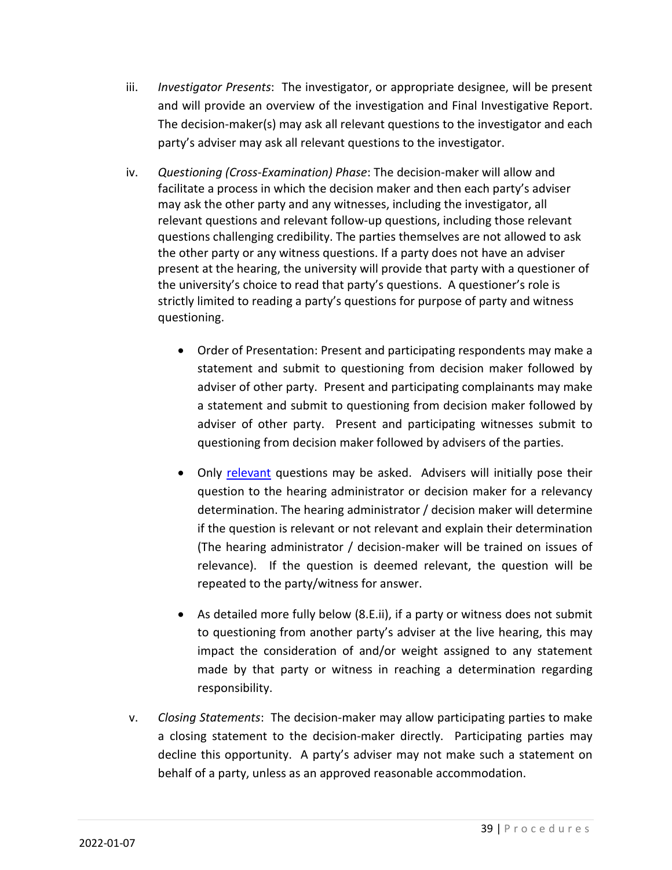- iii. *Investigator Presents*: The investigator, or appropriate designee, will be present and will provide an overview of the investigation and Final Investigative Report. The decision-maker(s) may ask all relevant questions to the investigator and each party's adviser may ask all relevant questions to the investigator.
- iv. *Questioning (Cross-Examination) Phase*: The decision-maker will allow and facilitate a process in which the decision maker and then each party's adviser may ask the other party and any witnesses, including the investigator, all relevant questions and relevant follow-up questions, including those relevant questions challenging credibility. The parties themselves are not allowed to ask the other party or any witness questions. If a party does not have an adviser present at the hearing, the university will provide that party with a questioner of the university's choice to read that party's questions. A questioner's role is strictly limited to reading a party's questions for purpose of party and witness questioning.
	- Order of Presentation: Present and participating respondents may make a statement and submit to questioning from decision maker followed by adviser of other party. Present and participating complainants may make a statement and submit to questioning from decision maker followed by adviser of other party. Present and participating witnesses submit to questioning from decision maker followed by advisers of the parties.
	- Only relevant questions may be asked. Advisers will initially pose their question to the hearing administrator or decision maker for a relevancy determination. The hearing administrator / decision maker will determine if the question is relevant or not relevant and explain their determination (The hearing administrator / decision-maker will be trained on issues of relevance). If the question is deemed relevant, the question will be repeated to the party/witness for answer.
	- As detailed more fully below (8.E.ii), if a party or witness does not submit to questioning from another party's adviser at the live hearing, this may impact the consideration of and/or weight assigned to any statement made by that party or witness in reaching a determination regarding responsibility.
- v. *Closing Statements*: The decision-maker may allow participating parties to make a closing statement to the decision-maker directly. Participating parties may decline this opportunity. A party's adviser may not make such a statement on behalf of a party, unless as an approved reasonable accommodation.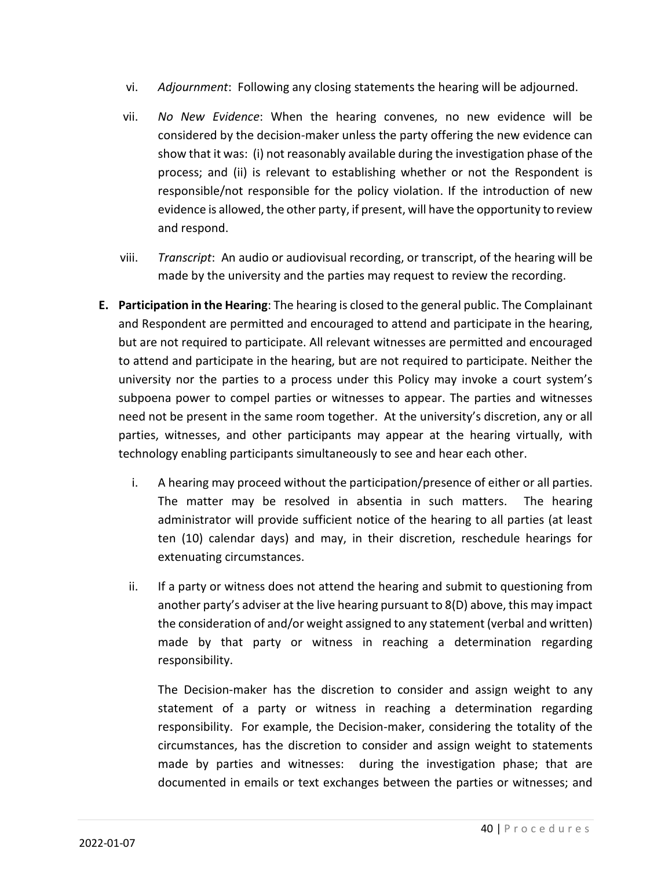- vi. *Adjournment*: Following any closing statements the hearing will be adjourned.
- vii. *No New Evidence*: When the hearing convenes, no new evidence will be considered by the decision-maker unless the party offering the new evidence can show that it was: (i) not reasonably available during the investigation phase of the process; and (ii) is relevant to establishing whether or not the Respondent is responsible/not responsible for the policy violation. If the introduction of new evidence is allowed, the other party, if present, will have the opportunity to review and respond.
- viii. *Transcript*: An audio or audiovisual recording, or transcript, of the hearing will be made by the university and the parties may request to review the recording.
- **E. Participation in the Hearing**: The hearing is closed to the general public. The Complainant and Respondent are permitted and encouraged to attend and participate in the hearing, but are not required to participate. All relevant witnesses are permitted and encouraged to attend and participate in the hearing, but are not required to participate. Neither the university nor the parties to a process under this Policy may invoke a court system's subpoena power to compel parties or witnesses to appear. The parties and witnesses need not be present in the same room together. At the university's discretion, any or all parties, witnesses, and other participants may appear at the hearing virtually, with technology enabling participants simultaneously to see and hear each other.
	- i. A hearing may proceed without the participation/presence of either or all parties. The matter may be resolved in absentia in such matters. The hearing administrator will provide sufficient notice of the hearing to all parties (at least ten (10) calendar days) and may, in their discretion, reschedule hearings for extenuating circumstances.
	- ii. If a party or witness does not attend the hearing and submit to questioning from another party's adviser at the live hearing pursuant to 8(D) above, this may impact the consideration of and/or weight assigned to any statement (verbal and written) made by that party or witness in reaching a determination regarding responsibility.

The Decision-maker has the discretion to consider and assign weight to any statement of a party or witness in reaching a determination regarding responsibility. For example, the Decision-maker, considering the totality of the circumstances, has the discretion to consider and assign weight to statements made by parties and witnesses: during the investigation phase; that are documented in emails or text exchanges between the parties or witnesses; and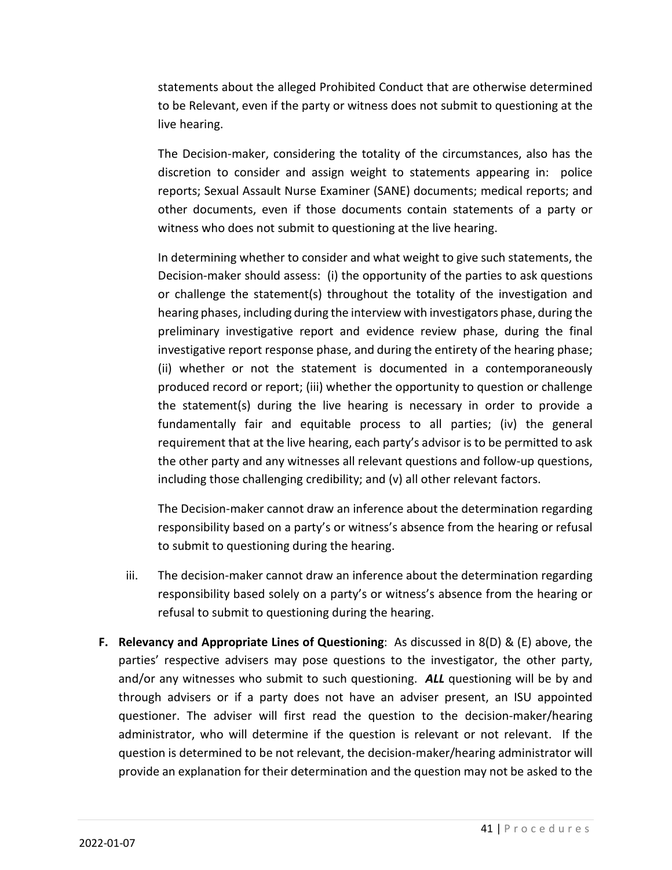statements about the alleged Prohibited Conduct that are otherwise determined to be Relevant, even if the party or witness does not submit to questioning at the live hearing.

The Decision-maker, considering the totality of the circumstances, also has the discretion to consider and assign weight to statements appearing in: police reports; Sexual Assault Nurse Examiner (SANE) documents; medical reports; and other documents, even if those documents contain statements of a party or witness who does not submit to questioning at the live hearing.

In determining whether to consider and what weight to give such statements, the Decision-maker should assess: (i) the opportunity of the parties to ask questions or challenge the statement(s) throughout the totality of the investigation and hearing phases, including during the interview with investigators phase, during the preliminary investigative report and evidence review phase, during the final investigative report response phase, and during the entirety of the hearing phase; (ii) whether or not the statement is documented in a contemporaneously produced record or report; (iii) whether the opportunity to question or challenge the statement(s) during the live hearing is necessary in order to provide a fundamentally fair and equitable process to all parties; (iv) the general requirement that at the live hearing, each party's advisor is to be permitted to ask the other party and any witnesses all relevant questions and follow-up questions, including those challenging credibility; and (v) all other relevant factors.

The Decision-maker cannot draw an inference about the determination regarding responsibility based on a party's or witness's absence from the hearing or refusal to submit to questioning during the hearing.

- iii. The decision-maker cannot draw an inference about the determination regarding responsibility based solely on a party's or witness's absence from the hearing or refusal to submit to questioning during the hearing.
- **F. Relevancy and Appropriate Lines of Questioning**: As discussed in 8(D) & (E) above, the parties' respective advisers may pose questions to the investigator, the other party, and/or any witnesses who submit to such questioning. *ALL* questioning will be by and through advisers or if a party does not have an adviser present, an ISU appointed questioner. The adviser will first read the question to the decision-maker/hearing administrator, who will determine if the question is relevant or not relevant. If the question is determined to be not relevant, the decision-maker/hearing administrator will provide an explanation for their determination and the question may not be asked to the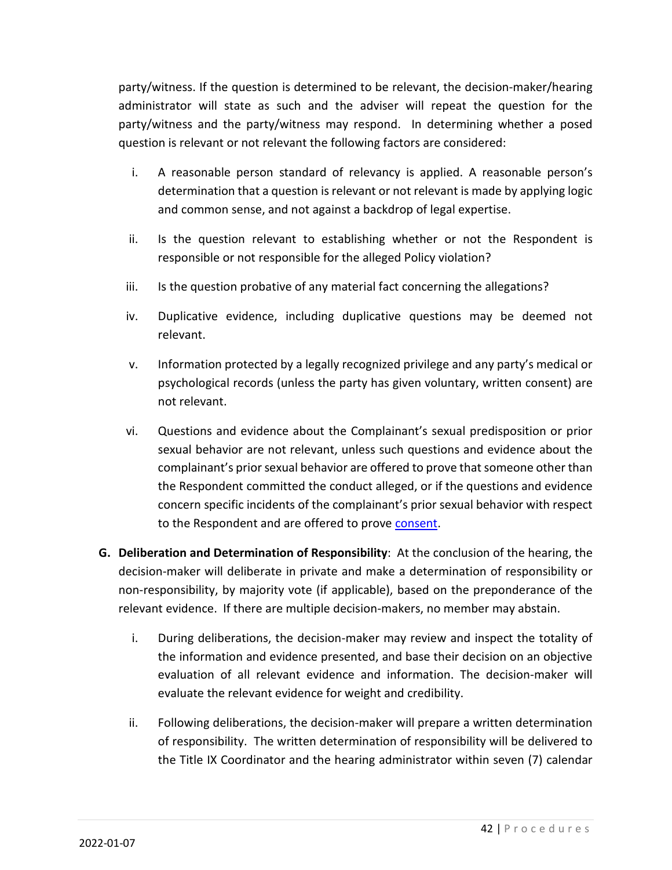party/witness. If the question is determined to be relevant, the decision-maker/hearing administrator will state as such and the adviser will repeat the question for the party/witness and the party/witness may respond. In determining whether a posed question is relevant or not relevant the following factors are considered:

- i. A reasonable person standard of relevancy is applied. A reasonable person's determination that a question is relevant or not relevant is made by applying logic and common sense, and not against a backdrop of legal expertise.
- ii. Is the question relevant to establishing whether or not the Respondent is responsible or not responsible for the alleged Policy violation?
- iii. Is the question probative of any material fact concerning the allegations?
- iv. Duplicative evidence, including duplicative questions may be deemed not relevant.
- v. Information protected by a legally recognized privilege and any party's medical or psychological records (unless the party has given voluntary, written consent) are not relevant.
- vi. Questions and evidence about the Complainant's sexual predisposition or prior sexual behavior are not relevant, unless such questions and evidence about the complainant's prior sexual behavior are offered to prove that someone other than the Respondent committed the conduct alleged, or if the questions and evidence concern specific incidents of the complainant's prior sexual behavior with respect to the Respondent and are offered to prove consent.
- **G. Deliberation and Determination of Responsibility**: At the conclusion of the hearing, the decision-maker will deliberate in private and make a determination of responsibility or non-responsibility, by majority vote (if applicable), based on the preponderance of the relevant evidence. If there are multiple decision-makers, no member may abstain.
	- i. During deliberations, the decision-maker may review and inspect the totality of the information and evidence presented, and base their decision on an objective evaluation of all relevant evidence and information. The decision-maker will evaluate the relevant evidence for weight and credibility.
	- ii. Following deliberations, the decision-maker will prepare a written determination of responsibility. The written determination of responsibility will be delivered to the Title IX Coordinator and the hearing administrator within seven (7) calendar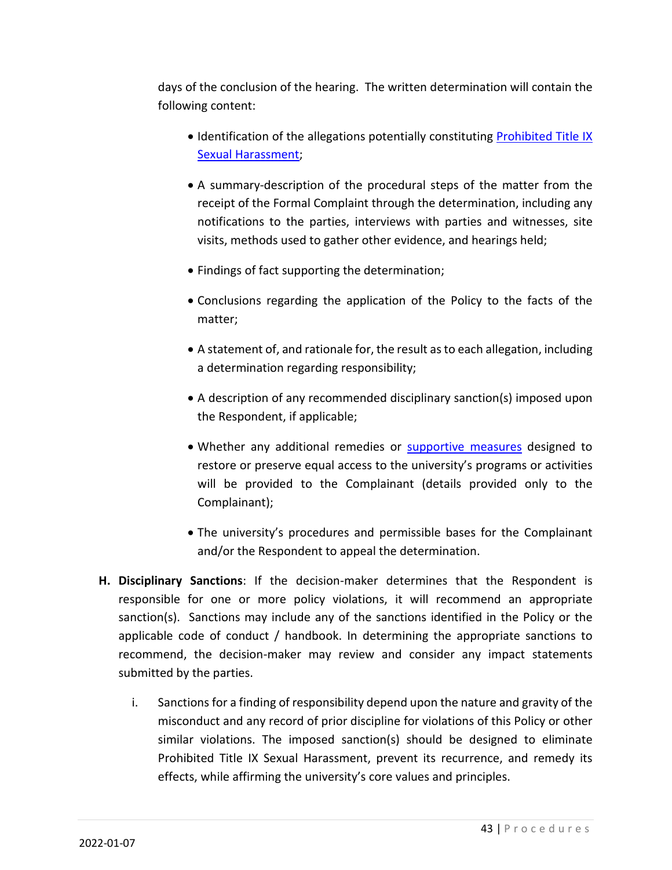days of the conclusion of the hearing. The written determination will contain the following content:

- Identification of the allegations potentially constituting Prohibited Title IX Sexual Harassment;
- A summary-description of the procedural steps of the matter from the receipt of the Formal Complaint through the determination, including any notifications to the parties, interviews with parties and witnesses, site visits, methods used to gather other evidence, and hearings held;
- Findings of fact supporting the determination;
- Conclusions regarding the application of the Policy to the facts of the matter;
- A statement of, and rationale for, the result as to each allegation, including a determination regarding responsibility;
- A description of any recommended disciplinary sanction(s) imposed upon the Respondent, if applicable;
- Whether any additional remedies or supportive measures designed to restore or preserve equal access to the university's programs or activities will be provided to the Complainant (details provided only to the Complainant);
- The university's procedures and permissible bases for the Complainant and/or the Respondent to appeal the determination.
- **H. Disciplinary Sanctions**: If the decision-maker determines that the Respondent is responsible for one or more policy violations, it will recommend an appropriate sanction(s). Sanctions may include any of the sanctions identified in the Policy or the applicable code of conduct / handbook. In determining the appropriate sanctions to recommend, the decision-maker may review and consider any impact statements submitted by the parties.
	- i. Sanctions for a finding of responsibility depend upon the nature and gravity of the misconduct and any record of prior discipline for violations of this Policy or other similar violations. The imposed sanction(s) should be designed to eliminate Prohibited Title IX Sexual Harassment, prevent its recurrence, and remedy its effects, while affirming the university's core values and principles.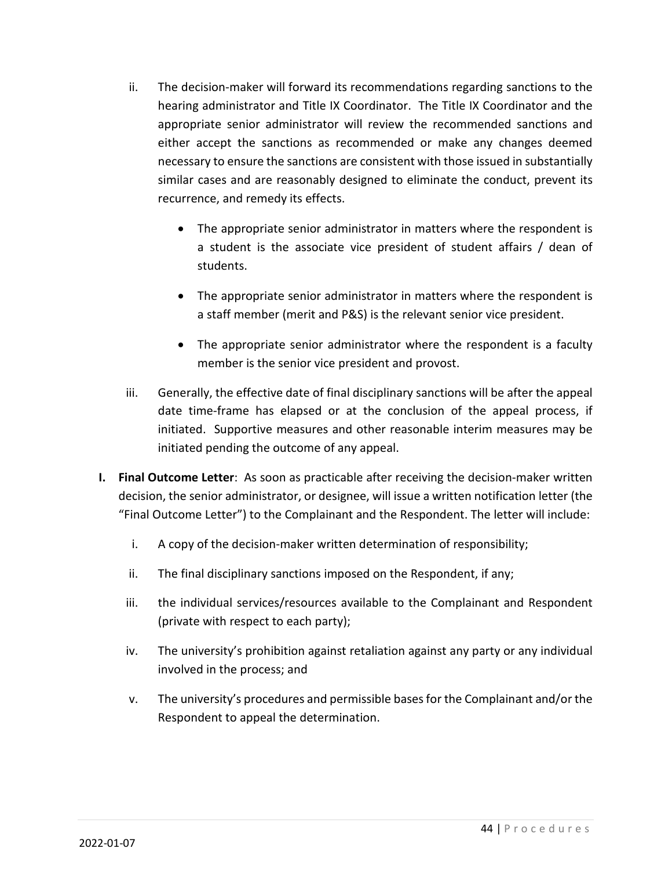- ii. The decision-maker will forward its recommendations regarding sanctions to the hearing administrator and Title IX Coordinator. The Title IX Coordinator and the appropriate senior administrator will review the recommended sanctions and either accept the sanctions as recommended or make any changes deemed necessary to ensure the sanctions are consistent with those issued in substantially similar cases and are reasonably designed to eliminate the conduct, prevent its recurrence, and remedy its effects.
	- The appropriate senior administrator in matters where the respondent is a student is the associate vice president of student affairs / dean of students.
	- The appropriate senior administrator in matters where the respondent is a staff member (merit and P&S) is the relevant senior vice president.
	- The appropriate senior administrator where the respondent is a faculty member is the senior vice president and provost.
- iii. Generally, the effective date of final disciplinary sanctions will be after the appeal date time-frame has elapsed or at the conclusion of the appeal process, if initiated. Supportive measures and other reasonable interim measures may be initiated pending the outcome of any appeal.
- **I. Final Outcome Letter**: As soon as practicable after receiving the decision-maker written decision, the senior administrator, or designee, will issue a written notification letter (the "Final Outcome Letter") to the Complainant and the Respondent. The letter will include:
	- i. A copy of the decision-maker written determination of responsibility;
	- ii. The final disciplinary sanctions imposed on the Respondent, if any;
	- iii. the individual services/resources available to the Complainant and Respondent (private with respect to each party);
	- iv. The university's prohibition against retaliation against any party or any individual involved in the process; and
	- v. The university's procedures and permissible bases for the Complainant and/or the Respondent to appeal the determination.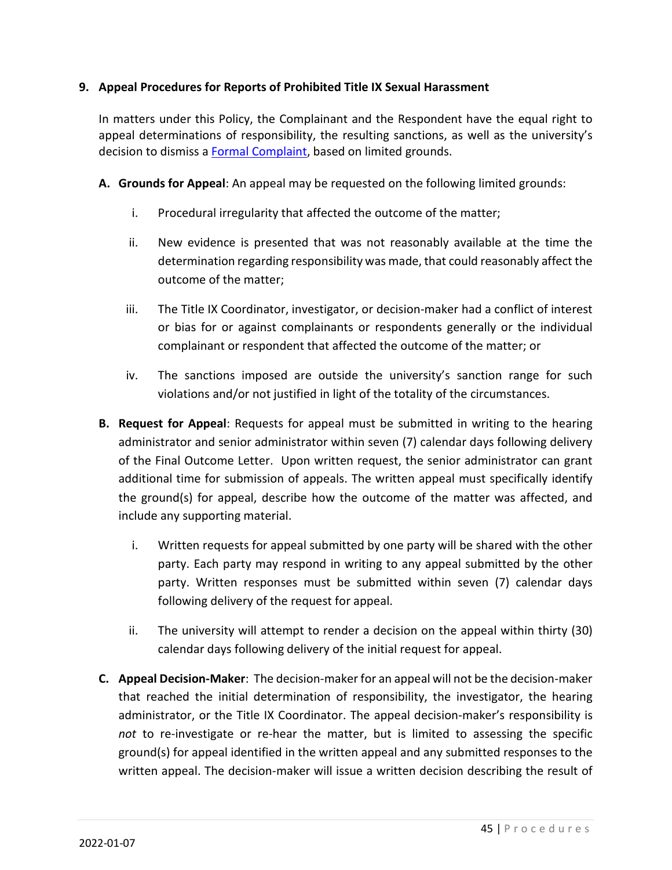#### **9. Appeal Procedures for Reports of Prohibited Title IX Sexual Harassment**

In matters under this Policy, the Complainant and the Respondent have the equal right to appeal determinations of responsibility, the resulting sanctions, as well as the university's decision to dismiss a Formal Complaint, based on limited grounds.

- **A. Grounds for Appeal**: An appeal may be requested on the following limited grounds:
	- i. Procedural irregularity that affected the outcome of the matter;
	- ii. New evidence is presented that was not reasonably available at the time the determination regarding responsibility was made, that could reasonably affect the outcome of the matter;
	- iii. The Title IX Coordinator, investigator, or decision-maker had a conflict of interest or bias for or against complainants or respondents generally or the individual complainant or respondent that affected the outcome of the matter; or
	- iv. The sanctions imposed are outside the university's sanction range for such violations and/or not justified in light of the totality of the circumstances.
- **B. Request for Appeal**: Requests for appeal must be submitted in writing to the hearing administrator and senior administrator within seven (7) calendar days following delivery of the Final Outcome Letter. Upon written request, the senior administrator can grant additional time for submission of appeals. The written appeal must specifically identify the ground(s) for appeal, describe how the outcome of the matter was affected, and include any supporting material.
	- i. Written requests for appeal submitted by one party will be shared with the other party. Each party may respond in writing to any appeal submitted by the other party. Written responses must be submitted within seven (7) calendar days following delivery of the request for appeal.
	- ii. The university will attempt to render a decision on the appeal within thirty (30) calendar days following delivery of the initial request for appeal.
- **C. Appeal Decision-Maker**: The decision-maker for an appeal will not be the decision-maker that reached the initial determination of responsibility, the investigator, the hearing administrator, or the Title IX Coordinator. The appeal decision-maker's responsibility is *not* to re-investigate or re-hear the matter, but is limited to assessing the specific ground(s) for appeal identified in the written appeal and any submitted responses to the written appeal. The decision-maker will issue a written decision describing the result of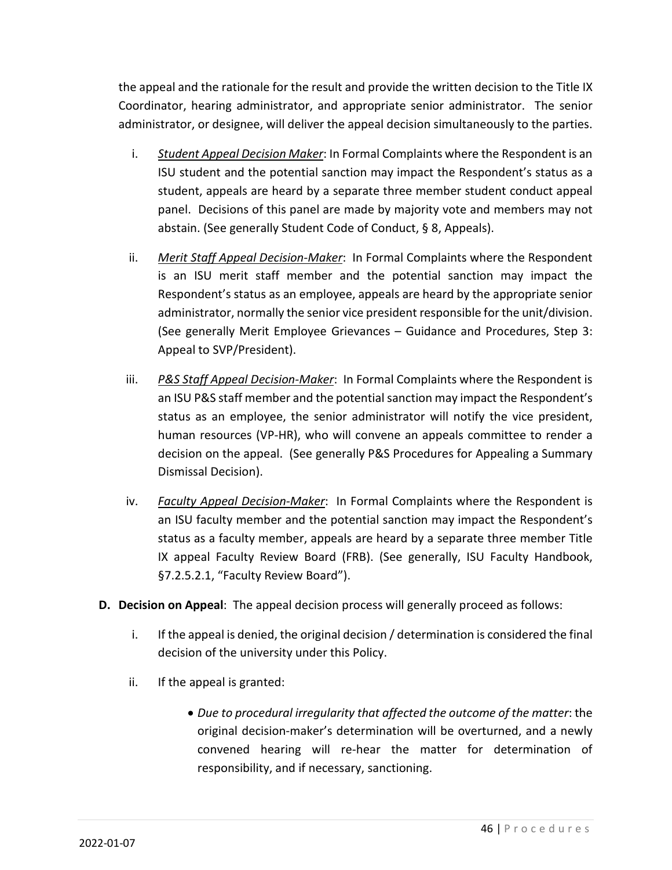the appeal and the rationale for the result and provide the written decision to the Title IX Coordinator, hearing administrator, and appropriate senior administrator. The senior administrator, or designee, will deliver the appeal decision simultaneously to the parties.

- i. *Student Appeal Decision Maker*: In Formal Complaints where the Respondent is an ISU student and the potential sanction may impact the Respondent's status as a student, appeals are heard by a separate three member student conduct appeal panel. Decisions of this panel are made by majority vote and members may not abstain. (See generally Student Code of Conduct, § 8, Appeals).
- ii. *Merit Staff Appeal Decision-Maker*: In Formal Complaints where the Respondent is an ISU merit staff member and the potential sanction may impact the Respondent's status as an employee, appeals are heard by the appropriate senior administrator, normally the senior vice president responsible for the unit/division. (See generally Merit Employee Grievances – Guidance and Procedures, Step 3: Appeal to SVP/President).
- iii. *P&S Staff Appeal Decision-Maker*: In Formal Complaints where the Respondent is an ISU P&S staff member and the potential sanction may impact the Respondent's status as an employee, the senior administrator will notify the vice president, human resources (VP-HR), who will convene an appeals committee to render a decision on the appeal. (See generally P&S Procedures for Appealing a Summary Dismissal Decision).
- iv. *Faculty Appeal Decision-Maker*: In Formal Complaints where the Respondent is an ISU faculty member and the potential sanction may impact the Respondent's status as a faculty member, appeals are heard by a separate three member Title IX appeal Faculty Review Board (FRB). (See generally, ISU Faculty Handbook, §7.2.5.2.1, "Faculty Review Board").
- **D. Decision on Appeal**: The appeal decision process will generally proceed as follows:
	- i. If the appeal is denied, the original decision / determination is considered the final decision of the university under this Policy.
	- ii. If the appeal is granted:
		- *Due to procedural irregularity that affected the outcome of the matter*: the original decision-maker's determination will be overturned, and a newly convened hearing will re-hear the matter for determination of responsibility, and if necessary, sanctioning.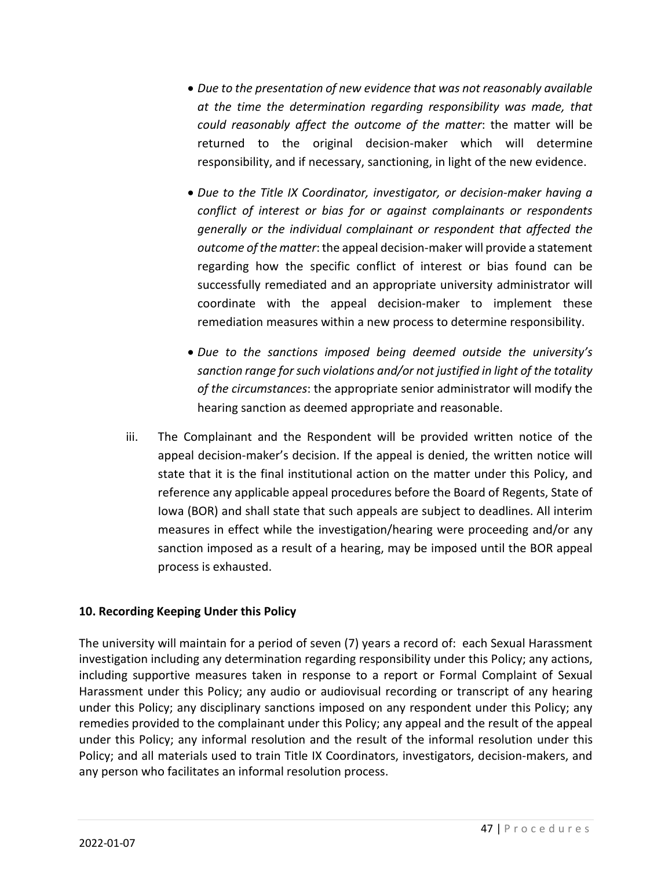- *Due to the presentation of new evidence that was not reasonably available at the time the determination regarding responsibility was made, that could reasonably affect the outcome of the matter*: the matter will be returned to the original decision-maker which will determine responsibility, and if necessary, sanctioning, in light of the new evidence.
- *Due to the Title IX Coordinator, investigator, or decision-maker having a conflict of interest or bias for or against complainants or respondents generally or the individual complainant or respondent that affected the outcome of the matter*: the appeal decision-maker will provide a statement regarding how the specific conflict of interest or bias found can be successfully remediated and an appropriate university administrator will coordinate with the appeal decision-maker to implement these remediation measures within a new process to determine responsibility.
- *Due to the sanctions imposed being deemed outside the university's sanction range for such violations and/or not justified in light of the totality of the circumstances*: the appropriate senior administrator will modify the hearing sanction as deemed appropriate and reasonable.
- iii. The Complainant and the Respondent will be provided written notice of the appeal decision-maker's decision. If the appeal is denied, the written notice will state that it is the final institutional action on the matter under this Policy, and reference any applicable appeal procedures before the Board of Regents, State of Iowa (BOR) and shall state that such appeals are subject to deadlines. All interim measures in effect while the investigation/hearing were proceeding and/or any sanction imposed as a result of a hearing, may be imposed until the BOR appeal process is exhausted.

#### **10. Recording Keeping Under this Policy**

The university will maintain for a period of seven (7) years a record of: each Sexual Harassment investigation including any determination regarding responsibility under this Policy; any actions, including supportive measures taken in response to a report or Formal Complaint of Sexual Harassment under this Policy; any audio or audiovisual recording or transcript of any hearing under this Policy; any disciplinary sanctions imposed on any respondent under this Policy; any remedies provided to the complainant under this Policy; any appeal and the result of the appeal under this Policy; any informal resolution and the result of the informal resolution under this Policy; and all materials used to train Title IX Coordinators, investigators, decision-makers, and any person who facilitates an informal resolution process.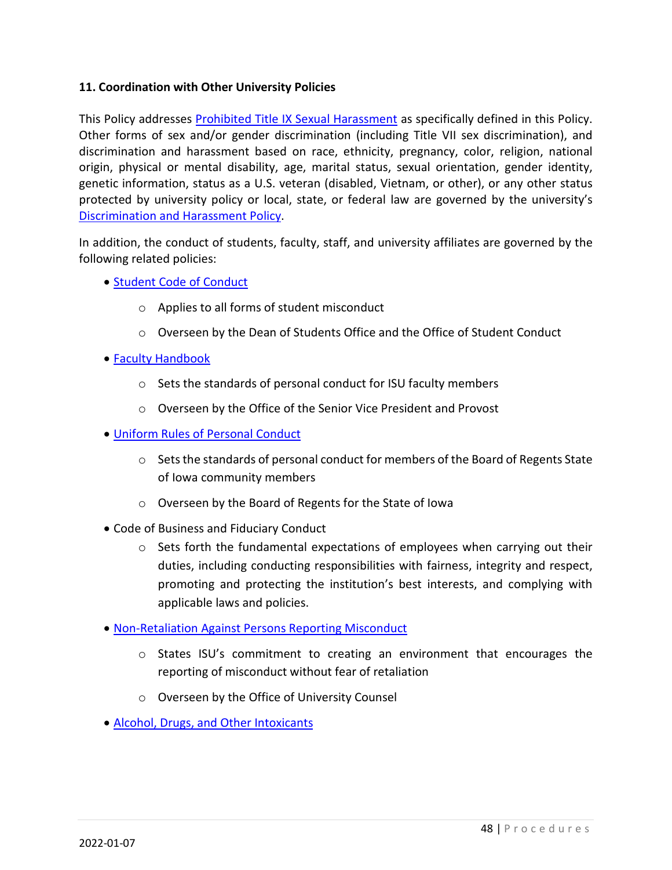#### **11. Coordination with Other University Policies**

This Policy addresses **Prohibited Title IX Sexual Harassment** as specifically defined in this Policy. Other forms of sex and/or gender discrimination (including Title VII sex discrimination), and discrimination and harassment based on race, ethnicity, pregnancy, color, religion, national origin, physical or mental disability, age, marital status, sexual orientation, gender identity, genetic information, status as a U.S. veteran (disabled, Vietnam, or other), or any other status protected by university policy or local, state, or federal law are governed by the university's Discrimination and Harassment Policy.

In addition, the conduct of students, faculty, staff, and university affiliates are governed by the following related policies:

- Student Code of Conduct
	- o Applies to all forms of student misconduct
	- o Overseen by the Dean of Students Office and the Office of Student Conduct
- Faculty Handbook
	- o Sets the standards of personal conduct for ISU faculty members
	- o Overseen by the Office of the Senior Vice President and Provost
- Uniform Rules of Personal Conduct
	- $\circ$  Sets the standards of personal conduct for members of the Board of Regents State of Iowa community members
	- o Overseen by the Board of Regents for the State of Iowa
- Code of Business and Fiduciary Conduct
	- $\circ$  Sets forth the fundamental expectations of employees when carrying out their duties, including conducting responsibilities with fairness, integrity and respect, promoting and protecting the institution's best interests, and complying with applicable laws and policies.
- Non-Retaliation Against Persons Reporting Misconduct
	- $\circ$  States ISU's commitment to creating an environment that encourages the reporting of misconduct without fear of retaliation
	- o Overseen by the Office of University Counsel
- Alcohol, Drugs, and Other Intoxicants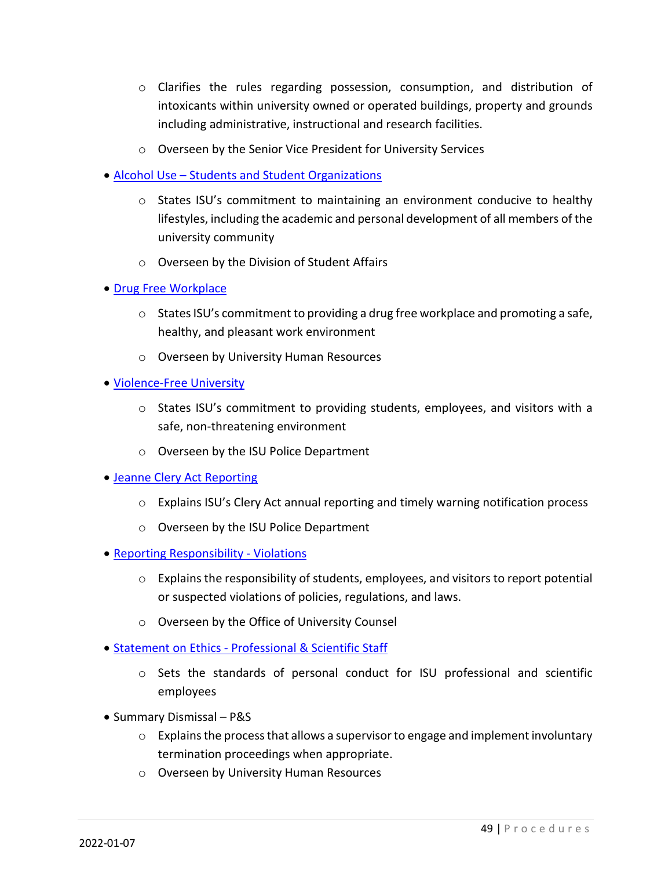- o Clarifies the rules regarding possession, consumption, and distribution of intoxicants within university owned or operated buildings, property and grounds including administrative, instructional and research facilities.
- o Overseen by the Senior Vice President for University Services
- Alcohol Use Students and Student Organizations
	- $\circ$  States ISU's commitment to maintaining an environment conducive to healthy lifestyles, including the academic and personal development of all members of the university community
	- o Overseen by the Division of Student Affairs
- Drug Free Workplace
	- $\circ$  States ISU's commitment to providing a drug free workplace and promoting a safe, healthy, and pleasant work environment
	- o Overseen by University Human Resources
- Violence-Free University
	- $\circ$  States ISU's commitment to providing students, employees, and visitors with a safe, non-threatening environment
	- o Overseen by the ISU Police Department
- Jeanne Clery Act Reporting
	- $\circ$  Explains ISU's Clery Act annual reporting and timely warning notification process
	- o Overseen by the ISU Police Department
- Reporting Responsibility Violations
	- $\circ$  Explains the responsibility of students, employees, and visitors to report potential or suspected violations of policies, regulations, and laws.
	- o Overseen by the Office of University Counsel
- Statement on Ethics Professional & Scientific Staff
	- $\circ$  Sets the standards of personal conduct for ISU professional and scientific employees
- Summary Dismissal P&S
	- $\circ$  Explains the process that allows a supervisor to engage and implement involuntary termination proceedings when appropriate.
	- o Overseen by University Human Resources